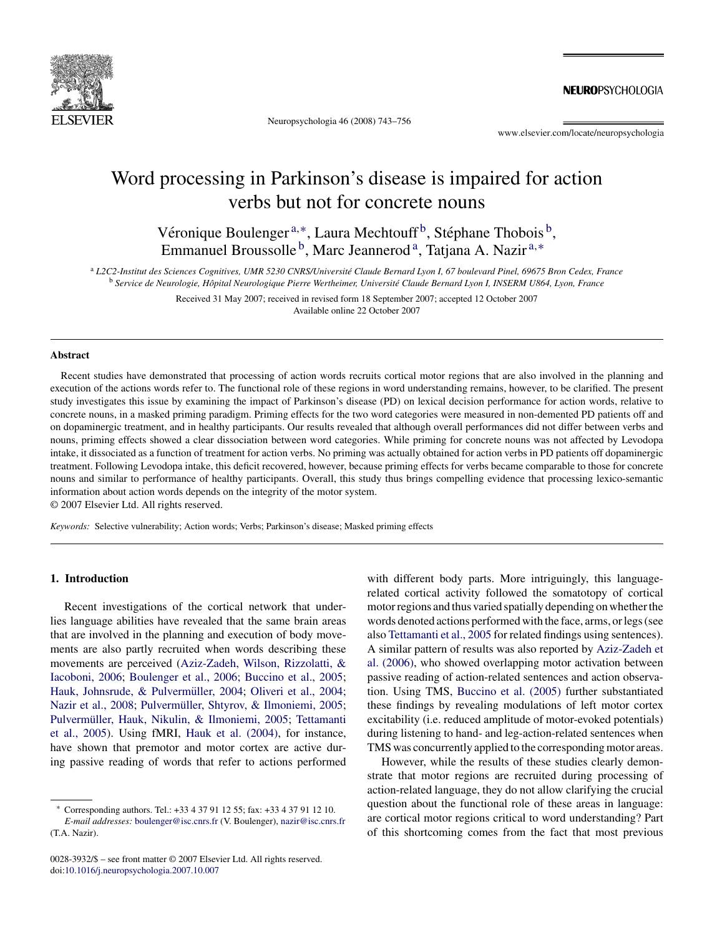

Neuropsychologia 46 (2008) 743–756

NEUROPSYCHOLOGIA

www.elsevier.com/locate/neuropsychologia

# Word processing in Parkinson's disease is impaired for action verbs but not for concrete nouns

Véronique Boulenger<sup>a,\*</sup>, Laura Mechtouff<sup>b</sup>, Stéphane Thobois<sup>b</sup>, Emmanuel Broussolle <sup>b</sup>, Marc Jeannerod<sup>a</sup>, Tatjana A. Nazir<sup>a,∗</sup>

<sup>a</sup> L2C2-Institut des Sciences Cognitives, UMR 5230 CNRS/Université Claude Bernard Lyon I, 67 boulevard Pinel, 69675 Bron Cedex, France <sup>b</sup> Service de Neurologie, Hôpital Neurologique Pierre Wertheimer, Université Claude Bernard Lyon I, INSERM U864, Lyon, France

> Received 31 May 2007; received in revised form 18 September 2007; accepted 12 October 2007 Available online 22 October 2007

#### **Abstract**

Recent studies have demonstrated that processing of action words recruits cortical motor regions that are also involved in the planning and execution of the actions words refer to. The functional role of these regions in word understanding remains, however, to be clarified. The present study investigates this issue by examining the impact of Parkinson's disease (PD) on lexical decision performance for action words, relative to concrete nouns, in a masked priming paradigm. Priming effects for the two word categories were measured in non-demented PD patients off and on dopaminergic treatment, and in healthy participants. Our results revealed that although overall performances did not differ between verbs and nouns, priming effects showed a clear dissociation between word categories. While priming for concrete nouns was not affected by Levodopa intake, it dissociated as a function of treatment for action verbs. No priming was actually obtained for action verbs in PD patients off dopaminergic treatment. Following Levodopa intake, this deficit recovered, however, because priming effects for verbs became comparable to those for concrete nouns and similar to performance of healthy participants. Overall, this study thus brings compelling evidence that processing lexico-semantic information about action words depends on the integrity of the motor system.

© 2007 Elsevier Ltd. All rights reserved.

*Keywords:* Selective vulnerability; Action words; Verbs; Parkinson's disease; Masked priming effects

# **1. Introduction**

Recent investigations of the cortical network that underlies language abilities have revealed that the same brain areas that are involved in the planning and execution of body movements are also partly recruited when words describing these movements are perceived [\(Aziz-Zadeh, Wilson, Rizzolatti, &](#page-11-0) [Iacoboni, 2006;](#page-11-0) [Boulenger et al., 2006; Buccino et al., 2005;](#page-11-0) Hauk, Johnsrude, & Pulvermüller, 2004; [Oliveri et al., 2004;](#page-12-0) [Nazir et al., 2008;](#page-12-0) Pulvermüller, Shtyrov, & Ilmoniemi, 2005; Pulvermüller, Hauk, Nikulin, & Ilmoniemi, 2005; [Tettamanti](#page-13-0) [et al., 2005\).](#page-13-0) Using fMRI, [Hauk et al. \(2004\),](#page-12-0) for instance, have shown that premotor and motor cortex are active during passive reading of words that refer to actions performed with different body parts. More intriguingly, this languagerelated cortical activity followed the somatotopy of cortical motor regions and thus varied spatially depending on whether the words denoted actions performed with the face, arms, or legs (see also [Tettamanti et al., 2005](#page-13-0) for related findings using sentences). A similar pattern of results was also reported by [Aziz-Zadeh et](#page-11-0) [al. \(2006\),](#page-11-0) who showed overlapping motor activation between passive reading of action-related sentences and action observation. Using TMS, [Buccino et al. \(2005\)](#page-11-0) further substantiated these findings by revealing modulations of left motor cortex excitability (i.e. reduced amplitude of motor-evoked potentials) during listening to hand- and leg-action-related sentences when TMS was concurrently applied to the corresponding motor areas.

However, while the results of these studies clearly demonstrate that motor regions are recruited during processing of action-related language, they do not allow clarifying the crucial question about the functional role of these areas in language: are cortical motor regions critical to word understanding? Part of this shortcoming comes from the fact that most previous

<sup>∗</sup> Corresponding authors. Tel.: +33 4 37 91 12 55; fax: +33 4 37 91 12 10.

*E-mail addresses:* [boulenger@isc.cnrs.fr](mailto:boulenger@isc.cnrs.fr) (V. Boulenger), [nazir@isc.cnrs.fr](mailto:nazir@isc.cnrs.fr) (T.A. Nazir).

<sup>0028-3932/\$ –</sup> see front matter © 2007 Elsevier Ltd. All rights reserved. doi[:10.1016/j.neuropsychologia.2007.10.007](dx.doi.org/10.1016/j.neuropsychologia.2007.10.007)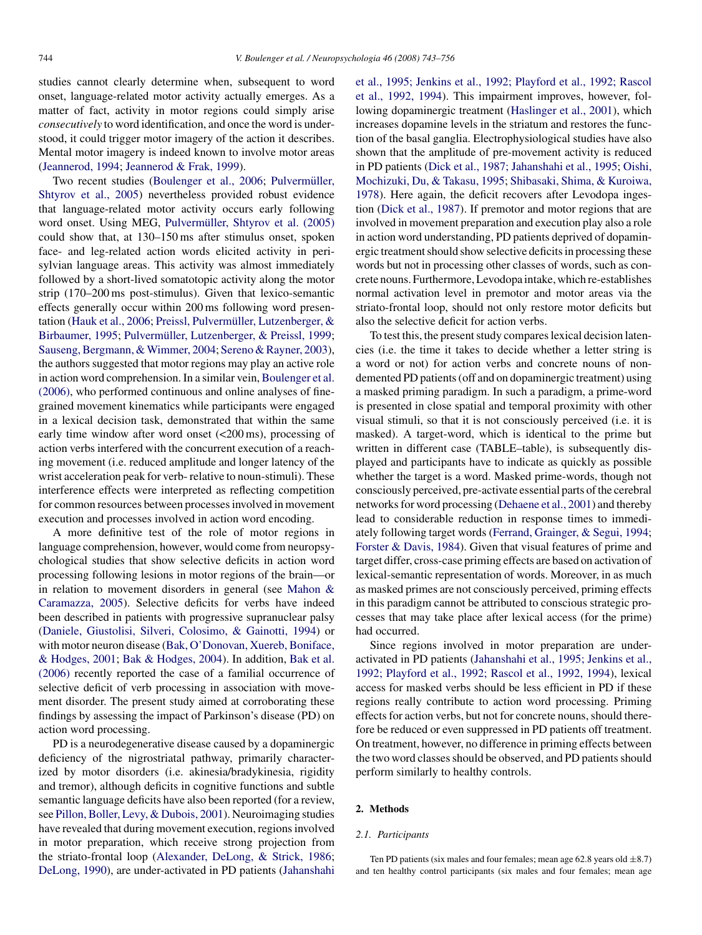studies cannot clearly determine when, subsequent to word onset, language-related motor activity actually emerges. As a matter of fact, activity in motor regions could simply arise *consecutively* to word identification, and once the word is understood, it could trigger motor imagery of the action it describes. Mental motor imagery is indeed known to involve motor areas [\(Jeannerod, 1994;](#page-12-0) [Jeannerod & Frak, 1999\).](#page-12-0)

Two recent studies ([Boulenger et al., 2006;](#page-11-0) Pulvermüller, [Shtyrov et al., 2005\)](#page-12-0) nevertheless provided robust evidence that language-related motor activity occurs early following word onset. Using MEG, Pulvermüller, Shtyrov et al. (2005) could show that, at 130–150 ms after stimulus onset, spoken face- and leg-related action words elicited activity in perisylvian language areas. This activity was almost immediately followed by a short-lived somatotopic activity along the motor strip (170–200 ms post-stimulus). Given that lexico-semantic effects generally occur within 200 ms following word presen-tation ([Hauk et al., 2006;](#page-12-0) Preissl, Pulvermüller, Lutzenberger,  $\&$ [Birbaumer, 1995;](#page-12-0) Pulvermüller, Lutzenberger, & Preissl, 1999; [Sauseng, Bergmann, & Wimmer, 2004;](#page-12-0) [Sereno & Rayner, 2003\),](#page-12-0) the authors suggested that motor regions may play an active role in action word comprehension. In a similar vein, [Boulenger et al.](#page-11-0) [\(2006\),](#page-11-0) who performed continuous and online analyses of finegrained movement kinematics while participants were engaged in a lexical decision task, demonstrated that within the same early time window after word onset (<200 ms), processing of action verbs interfered with the concurrent execution of a reaching movement (i.e. reduced amplitude and longer latency of the wrist acceleration peak for verb- relative to noun-stimuli). These interference effects were interpreted as reflecting competition for common resources between processes involved in movement execution and processes involved in action word encoding.

A more definitive test of the role of motor regions in language comprehension, however, would come from neuropsychological studies that show selective deficits in action word processing following lesions in motor regions of the brain—or in relation to movement disorders in general (see [Mahon &](#page-12-0) [Caramazza, 2005\).](#page-12-0) Selective deficits for verbs have indeed been described in patients with progressive supranuclear palsy [\(Daniele, Giustolisi, Silveri, Colosimo, & Gainotti, 1994\)](#page-11-0) or with motor neuron disease ([Bak, O'Donovan, Xuereb, Boniface,](#page-11-0) [& Hodges, 2001;](#page-11-0) [Bak & Hodges, 2004\).](#page-11-0) In addition, [Bak et al.](#page-11-0) [\(2006\)](#page-11-0) recently reported the case of a familial occurrence of selective deficit of verb processing in association with movement disorder. The present study aimed at corroborating these findings by assessing the impact of Parkinson's disease (PD) on action word processing.

PD is a neurodegenerative disease caused by a dopaminergic deficiency of the nigrostriatal pathway, primarily characterized by motor disorders (i.e. akinesia/bradykinesia, rigidity and tremor), although deficits in cognitive functions and subtle semantic language deficits have also been reported (for a review, see [Pillon, Boller, Levy, & Dubois, 2001\).](#page-12-0) Neuroimaging studies have revealed that during movement execution, regions involved in motor preparation, which receive strong projection from the striato-frontal loop ([Alexander, DeLong, & Strick, 1986;](#page-10-0) [DeLong, 1990\),](#page-11-0) are under-activated in PD patients [\(Jahanshahi](#page-12-0) [et al., 1995; Jenkins et al., 1992; Playford et al., 1992; Rascol](#page-12-0) [et al., 1992, 1994\).](#page-12-0) This impairment improves, however, following dopaminergic treatment [\(Haslinger et al., 2001\),](#page-11-0) which increases dopamine levels in the striatum and restores the function of the basal ganglia. Electrophysiological studies have also shown that the amplitude of pre-movement activity is reduced in PD patients [\(Dick et al., 1987; Jahanshahi et al., 1995;](#page-11-0) [Oishi,](#page-12-0) [Mochizuki, Du, & Takasu, 1995;](#page-12-0) [Shibasaki, Shima, & Kuroiwa,](#page-13-0) [1978\).](#page-13-0) Here again, the deficit recovers after Levodopa ingestion [\(Dick et al., 1987\).](#page-11-0) If premotor and motor regions that are involved in movement preparation and execution play also a role in action word understanding, PD patients deprived of dopaminergic treatment should show selective deficits in processing these words but not in processing other classes of words, such as concrete nouns. Furthermore, Levodopa intake, which re-establishes normal activation level in premotor and motor areas via the striato-frontal loop, should not only restore motor deficits but also the selective deficit for action verbs.

To test this, the present study compares lexical decision latencies (i.e. the time it takes to decide whether a letter string is a word or not) for action verbs and concrete nouns of nondemented PD patients (off and on dopaminergic treatment) using a masked priming paradigm. In such a paradigm, a prime-word is presented in close spatial and temporal proximity with other visual stimuli, so that it is not consciously perceived (i.e. it is masked). A target-word, which is identical to the prime but written in different case (TABLE–table), is subsequently displayed and participants have to indicate as quickly as possible whether the target is a word. Masked prime-words, though not consciously perceived, pre-activate essential parts of the cerebral networks for word processing ([Dehaene et al., 2001\) a](#page-11-0)nd thereby lead to considerable reduction in response times to immediately following target words [\(Ferrand, Grainger, & Segui, 1994;](#page-11-0) [Forster & Davis, 1984\).](#page-11-0) Given that visual features of prime and target differ, cross-case priming effects are based on activation of lexical-semantic representation of words. Moreover, in as much as masked primes are not consciously perceived, priming effects in this paradigm cannot be attributed to conscious strategic processes that may take place after lexical access (for the prime) had occurred.

Since regions involved in motor preparation are underactivated in PD patients [\(Jahanshahi et al., 1995; Jenkins et al.,](#page-12-0) [1992; Playford et al., 1992; Rascol et al., 1992, 1994\),](#page-12-0) lexical access for masked verbs should be less efficient in PD if these regions really contribute to action word processing. Priming effects for action verbs, but not for concrete nouns, should therefore be reduced or even suppressed in PD patients off treatment. On treatment, however, no difference in priming effects between the two word classes should be observed, and PD patients should perform similarly to healthy controls.

#### **2. Methods**

#### *2.1. Participants*

Ten PD patients (six males and four females; mean age 62.8 years old  $\pm 8.7$ ) and ten healthy control participants (six males and four females; mean age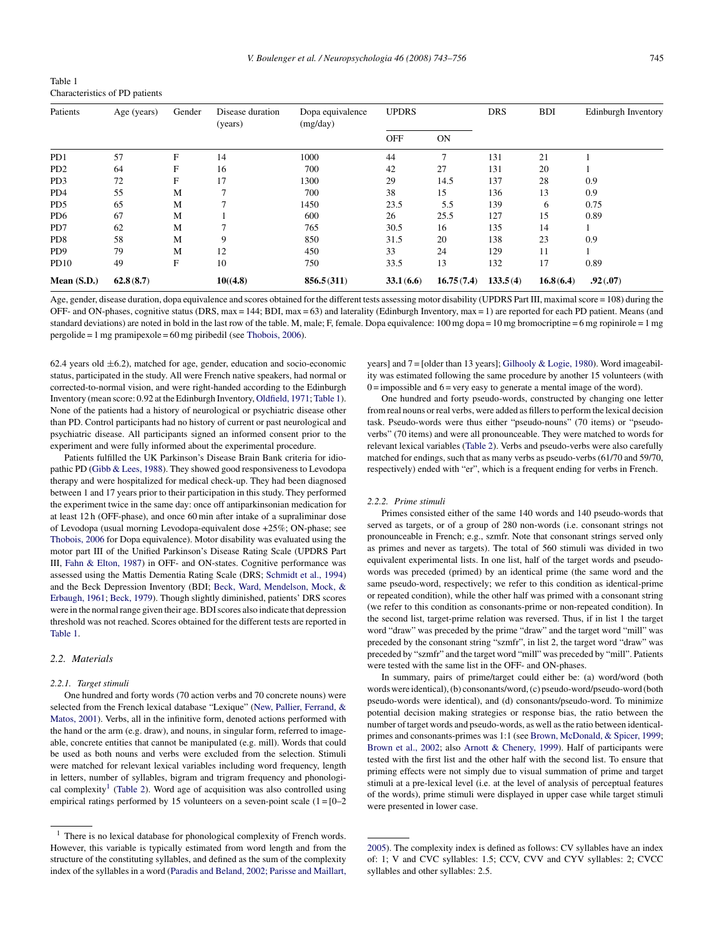<span id="page-2-0"></span>

| Table 1                        |  |
|--------------------------------|--|
| Characteristics of PD patients |  |

| Patients                    | Age (years) | Gender      | Disease duration<br>(years) | Dopa equivalence<br>(mg/day) | <b>UPDRS</b> |            | <b>DRS</b> | <b>BDI</b> | <b>Edinburgh Inventory</b> |
|-----------------------------|-------------|-------------|-----------------------------|------------------------------|--------------|------------|------------|------------|----------------------------|
|                             |             |             |                             |                              | <b>OFF</b>   | <b>ON</b>  |            |            |                            |
| P <sub>D</sub> 1            | 57          | F           | 14                          | 1000                         | 44           |            | 131        | 21         |                            |
| PD <sub>2</sub>             | 64          | F           | 16                          | 700                          | 42           | 27         | 131        | 20         |                            |
| PD <sub>3</sub>             | 72          | F           | 17                          | 1300                         | 29           | 14.5       | 137        | 28         | 0.9                        |
| PD <sub>4</sub>             | 55          | M           |                             | 700                          | 38           | 15         | 136        | 13         | 0.9                        |
| PD <sub>5</sub>             | 65          | M           |                             | 1450                         | 23.5         | 5.5        | 139        | 6          | 0.75                       |
| PD <sub>6</sub>             | 67          | M           |                             | 600                          | 26           | 25.5       | 127        | 15         | 0.89                       |
| PD7                         | 62          | M           |                             | 765                          | 30.5         | 16         | 135        | 14         |                            |
| PD <sub>8</sub>             | 58          | М           | 9                           | 850                          | 31.5         | 20         | 138        | 23         | 0.9                        |
| P <sub>D</sub> <sup>9</sup> | 79          | M           | 12                          | 450                          | 33           | 24         | 129        | 11         |                            |
| PD10                        | 49          | $\mathbf F$ | 10                          | 750                          | 33.5         | 13         | 132        | 17         | 0.89                       |
| Mean $(S.D.)$               | 62.8(8.7)   |             | 10((4.8)                    | 856.5(311)                   | 33.1(6.6)    | 16.75(7.4) | 133.5(4)   | 16.8(6.4)  | .92(.07)                   |

Age, gender, disease duration, dopa equivalence and scores obtained for the different tests assessing motor disability (UPDRS Part III, maximal score = 108) during the OFF- and ON-phases, cognitive status (DRS, max = 144; BDI, max = 63) and laterality (Edinburgh Inventory, max = 1) are reported for each PD patient. Means (and standard deviations) are noted in bold in the last row of the table. M, male; F, female. Dopa equivalence: 100 mg dopa = 10 mg bromocriptine = 6 mg ropinirole = 1 mg pergolide = 1 mg pramipexole = 60 mg piribedil (see [Thobois, 2006\).](#page-13-0)

62.4 years old  $\pm$ 6.2), matched for age, gender, education and socio-economic status, participated in the study. All were French native speakers, had normal or corrected-to-normal vision, and were right-handed according to the Edinburgh Inventory (mean score: 0.92 at the Edinburgh Inventory, [Oldfield, 1971;](#page-12-0) Table 1). None of the patients had a history of neurological or psychiatric disease other than PD. Control participants had no history of current or past neurological and psychiatric disease. All participants signed an informed consent prior to the experiment and were fully informed about the experimental procedure.

Patients fulfilled the UK Parkinson's Disease Brain Bank criteria for idiopathic PD [\(Gibb & Lees, 1988\).](#page-11-0) They showed good responsiveness to Levodopa therapy and were hospitalized for medical check-up. They had been diagnosed between 1 and 17 years prior to their participation in this study. They performed the experiment twice in the same day: once off antiparkinsonian medication for at least 12 h (OFF-phase), and once 60 min after intake of a supraliminar dose of Levodopa (usual morning Levodopa-equivalent dose +25%; ON-phase; see [Thobois, 2006](#page-13-0) for Dopa equivalence). Motor disability was evaluated using the motor part III of the Unified Parkinson's Disease Rating Scale (UPDRS Part III, [Fahn & Elton, 1987\)](#page-11-0) in OFF- and ON-states. Cognitive performance was assessed using the Mattis Dementia Rating Scale (DRS; [Schmidt et al., 1994\)](#page-12-0) and the Beck Depression Inventory (BDI; [Beck, Ward, Mendelson, Mock, &](#page-11-0) [Erbaugh, 1961;](#page-11-0) [Beck, 1979\).](#page-11-0) Though slightly diminished, patients' DRS scores were in the normal range given their age. BDI scores also indicate that depression threshold was not reached. Scores obtained for the different tests are reported in Table 1.

#### *2.2. Materials*

#### *2.2.1. Target stimuli*

One hundred and forty words (70 action verbs and 70 concrete nouns) were selected from the French lexical database "Lexique" [\(New, Pallier, Ferrand, &](#page-12-0) [Matos, 2001\).](#page-12-0) Verbs, all in the infinitive form, denoted actions performed with the hand or the arm (e.g. draw), and nouns, in singular form, referred to imageable, concrete entities that cannot be manipulated (e.g. mill). Words that could be used as both nouns and verbs were excluded from the selection. Stimuli were matched for relevant lexical variables including word frequency, length in letters, number of syllables, bigram and trigram frequency and phonologi-cal complexity<sup>1</sup> [\(Table 2\).](#page-3-0) Word age of acquisition was also controlled using empirical ratings performed by 15 volunteers on a seven-point scale  $(1 = [0-2]$ 

years] and 7 = [older than 13 years]; [Gilhooly & Logie, 1980\).](#page-11-0) Word imageability was estimated following the same procedure by another 15 volunteers (with  $0 =$ impossible and  $6 =$ very easy to generate a mental image of the word).

One hundred and forty pseudo-words, constructed by changing one letter from real nouns or real verbs, were added as fillers to perform the lexical decision task. Pseudo-words were thus either "pseudo-nouns" (70 items) or "pseudoverbs" (70 items) and were all pronounceable. They were matched to words for relevant lexical variables ([Table 2\).](#page-3-0) Verbs and pseudo-verbs were also carefully matched for endings, such that as many verbs as pseudo-verbs (61/70 and 59/70, respectively) ended with "er", which is a frequent ending for verbs in French.

#### *2.2.2. Prime stimuli*

Primes consisted either of the same 140 words and 140 pseudo-words that served as targets, or of a group of 280 non-words (i.e. consonant strings not pronounceable in French; e.g., szmfr. Note that consonant strings served only as primes and never as targets). The total of 560 stimuli was divided in two equivalent experimental lists. In one list, half of the target words and pseudowords was preceded (primed) by an identical prime (the same word and the same pseudo-word, respectively; we refer to this condition as identical-prime or repeated condition), while the other half was primed with a consonant string (we refer to this condition as consonants-prime or non-repeated condition). In the second list, target-prime relation was reversed. Thus, if in list 1 the target word "draw" was preceded by the prime "draw" and the target word "mill" was preceded by the consonant string "szmfr", in list 2, the target word "draw" was preceded by "szmfr" and the target word "mill" was preceded by "mill". Patients were tested with the same list in the OFF- and ON-phases.

In summary, pairs of prime/target could either be: (a) word/word (both words were identical), (b) consonants/word, (c) pseudo-word/pseudo-word (both pseudo-words were identical), and (d) consonants/pseudo-word. To minimize potential decision making strategies or response bias, the ratio between the number of target words and pseudo-words, as well as the ratio between identicalprimes and consonants-primes was 1:1 (see [Brown, McDonald, & Spicer, 1999;](#page-11-0) [Brown et al., 2002; a](#page-11-0)lso [Arnott & Chenery, 1999\).](#page-11-0) Half of participants were tested with the first list and the other half with the second list. To ensure that priming effects were not simply due to visual summation of prime and target stimuli at a pre-lexical level (i.e. at the level of analysis of perceptual features of the words), prime stimuli were displayed in upper case while target stimuli were presented in lower case.

<sup>&</sup>lt;sup>1</sup> There is no lexical database for phonological complexity of French words. However, this variable is typically estimated from word length and from the structure of the constituting syllables, and defined as the sum of the complexity index of the syllables in a word ([Paradis and Beland, 2002; Parisse and Maillart,](#page-12-0)

[<sup>2005\).</sup>](#page-12-0) The complexity index is defined as follows: CV syllables have an index of: 1; V and CVC syllables: 1.5; CCV, CVV and CYV syllables: 2; CVCC syllables and other syllables: 2.5.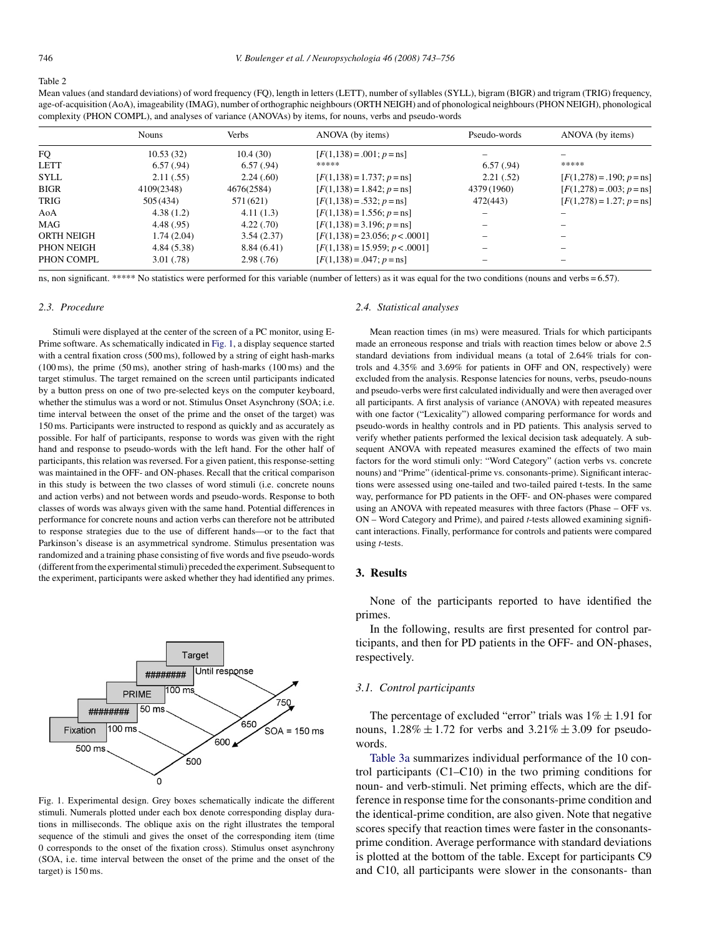<span id="page-3-0"></span>Table 2

Mean values (and standard deviations) of word frequency (FQ), length in letters (LETT), number of syllables (SYLL), bigram (BIGR) and trigram (TRIG) frequency, age-of-acquisition (AoA), imageability (IMAG), number of orthographic neighbours (ORTH NEIGH) and of phonological neighbours (PHON NEIGH), phonological complexity (PHON COMPL), and analyses of variance (ANOVAs) by items, for nouns, verbs and pseudo-words

|             | <b>Nouns</b> | Verbs      | ANOVA (by items)                 | Pseudo-words    | ANOVA (by items)            |
|-------------|--------------|------------|----------------------------------|-----------------|-----------------------------|
| FQ          | 10.53(32)    | 10.4(30)   | $[F(1,138) = .001; p = ns]$      |                 |                             |
| <b>LETT</b> | 6.57(0.94)   | 6.57(0.94) | *****                            | 6.57(0.94)      | *****                       |
| <b>SYLL</b> | 2.11(.55)    | 2.24(.60)  | $[F(1, 138) = 1.737; p = ns]$    | 2.21(.52)       | $[F(1,278) = .190; p = ns]$ |
| <b>BIGR</b> | 4109(2348)   | 4676(2584) | $[F(1, 138) = 1.842; p = ns]$    | 4379 (1960)     | $[F(1,278) = .003; p = ns]$ |
| <b>TRIG</b> | 505 (434)    | 571(621)   | $[F(1, 138) = .532; p = ns]$     | 472(443)        | $[F(1,278) = 1.27; p = ns]$ |
| AoA         | 4.38(1.2)    | 4.11(1.3)  | $[F(1, 138) = 1.556; p = ns]$    | $\qquad \qquad$ |                             |
| MAG         | 4.48(0.95)   | 4.22(0.70) | $[F(1, 138) = 3.196; p = ns]$    |                 |                             |
| ORTH NEIGH  | 1.74(2.04)   | 3.54(2.37) | $[F(1,138) = 23.056; p < .0001]$ |                 |                             |
| PHON NEIGH  | 4.84(5.38)   | 8.84(6.41) | $[F(1,138) = 15.959; p < .0001]$ |                 |                             |
| PHON COMPL  | 3.01(0.78)   | 2.98(.76)  | $[F(1, 138) = .047; p = ns]$     |                 |                             |

ns, non significant. \*\*\*\*\* No statistics were performed for this variable (number of letters) as it was equal for the two conditions (nouns and verbs = 6.57).

#### *2.3. Procedure*

Stimuli were displayed at the center of the screen of a PC monitor, using E-Prime software. As schematically indicated in Fig. 1, a display sequence started with a central fixation cross (500 ms), followed by a string of eight hash-marks (100 ms), the prime (50 ms), another string of hash-marks (100 ms) and the target stimulus. The target remained on the screen until participants indicated by a button press on one of two pre-selected keys on the computer keyboard, whether the stimulus was a word or not. Stimulus Onset Asynchrony (SOA; i.e. time interval between the onset of the prime and the onset of the target) was 150 ms. Participants were instructed to respond as quickly and as accurately as possible. For half of participants, response to words was given with the right hand and response to pseudo-words with the left hand. For the other half of participants, this relation was reversed. For a given patient, this response-setting was maintained in the OFF- and ON-phases. Recall that the critical comparison in this study is between the two classes of word stimuli (i.e. concrete nouns and action verbs) and not between words and pseudo-words. Response to both classes of words was always given with the same hand. Potential differences in performance for concrete nouns and action verbs can therefore not be attributed to response strategies due to the use of different hands—or to the fact that Parkinson's disease is an asymmetrical syndrome. Stimulus presentation was randomized and a training phase consisting of five words and five pseudo-words (different from the experimental stimuli) preceded the experiment. Subsequent to the experiment, participants were asked whether they had identified any primes.



Fig. 1. Experimental design. Grey boxes schematically indicate the different stimuli. Numerals plotted under each box denote corresponding display durations in milliseconds. The oblique axis on the right illustrates the temporal sequence of the stimuli and gives the onset of the corresponding item (time 0 corresponds to the onset of the fixation cross). Stimulus onset asynchrony (SOA, i.e. time interval between the onset of the prime and the onset of the target) is 150 ms.

#### *2.4. Statistical analyses*

Mean reaction times (in ms) were measured. Trials for which participants made an erroneous response and trials with reaction times below or above 2.5 standard deviations from individual means (a total of 2.64% trials for controls and 4.35% and 3.69% for patients in OFF and ON, respectively) were excluded from the analysis. Response latencies for nouns, verbs, pseudo-nouns and pseudo-verbs were first calculated individually and were then averaged over all participants. A first analysis of variance (ANOVA) with repeated measures with one factor ("Lexicality") allowed comparing performance for words and pseudo-words in healthy controls and in PD patients. This analysis served to verify whether patients performed the lexical decision task adequately. A subsequent ANOVA with repeated measures examined the effects of two main factors for the word stimuli only: "Word Category" (action verbs vs. concrete nouns) and "Prime" (identical-prime vs. consonants-prime). Significant interactions were assessed using one-tailed and two-tailed paired t-tests. In the same way, performance for PD patients in the OFF- and ON-phases were compared using an ANOVA with repeated measures with three factors (Phase – OFF vs. ON – Word Category and Prime), and paired *t*-tests allowed examining significant interactions. Finally, performance for controls and patients were compared using *t*-tests.

#### **3. Results**

None of the participants reported to have identified the primes.

In the following, results are first presented for control participants, and then for PD patients in the OFF- and ON-phases, respectively.

#### *3.1. Control participants*

The percentage of excluded "error" trials was  $1\% \pm 1.91$  for nouns,  $1.28\% \pm 1.72$  for verbs and  $3.21\% \pm 3.09$  for pseudowords.

[Table 3a](#page-4-0) summarizes individual performance of the 10 control participants (C1–C10) in the two priming conditions for noun- and verb-stimuli. Net priming effects, which are the difference in response time for the consonants-prime condition and the identical-prime condition, are also given. Note that negative scores specify that reaction times were faster in the consonantsprime condition. Average performance with standard deviations is plotted at the bottom of the table. Except for participants C9 and C10, all participants were slower in the consonants- than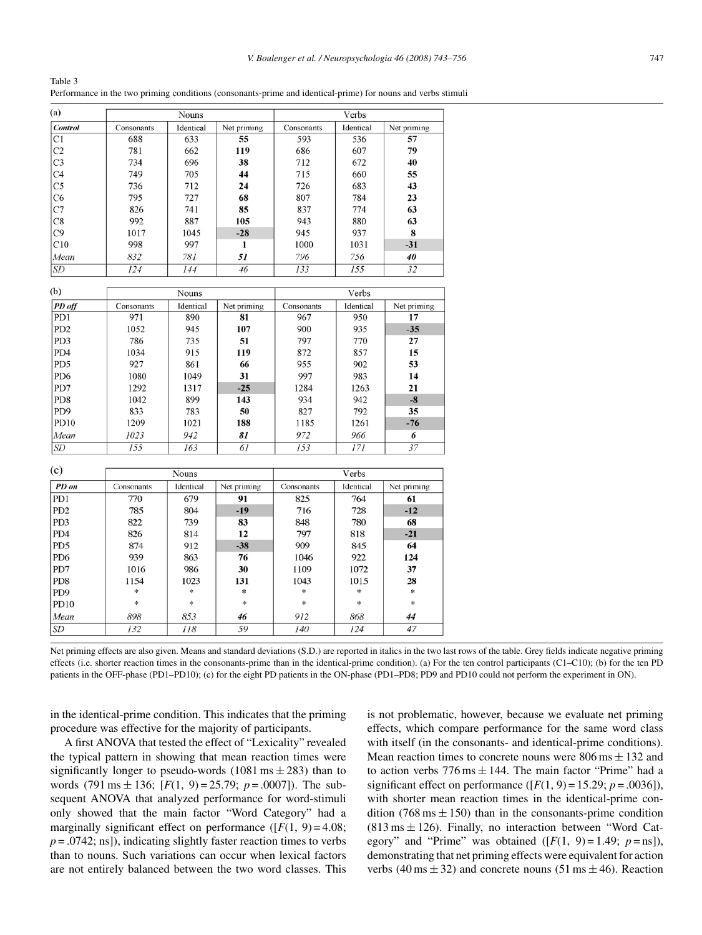<span id="page-4-0"></span>

| Table 3                                                                                                      |  |  |  |
|--------------------------------------------------------------------------------------------------------------|--|--|--|
| Performance in the two priming conditions (consonants-prime and identical-prime) for nouns and verbs stimuli |  |  |  |

| (a)              |            | Nouns        | Verbs           |            |                  |                 |  |
|------------------|------------|--------------|-----------------|------------|------------------|-----------------|--|
| Control          | Consonants | Identical    | Net priming     | Consonants | Identical        | Net priming     |  |
| C1               | 688        | 633          | 55              | 593        | 536              | 57              |  |
| C <sub>2</sub>   | 781        | 662          | 119             | 686        | 607              | 79              |  |
| C <sub>3</sub>   | 734        | 696          | 38              | 712        | 672              | 40              |  |
| C <sub>4</sub>   | 749        | 705          | 44              | 715        | 660              | 55              |  |
| C <sub>5</sub>   | 736        | 712          | 24              | 726        | 683              | 43              |  |
| C6               | 795        | 727          | 68              | 807        | 784              | 23              |  |
| C7               | 826        | 741          | 85              | 837        | 774              | 63              |  |
| C8               | 992        | 887          | 105             | 943        | 880              | 63              |  |
| C9               | 1017       | 1045         | $-28$           | 945        | 937              | 8               |  |
| C10              | 998        | 997          | 1               | 1000       | 1031             | $-31$           |  |
| Mean             | 832        | 781          | 51              | 796        | 756              | 40              |  |
| <b>SD</b>        | 124        | 144          | 46              | 133        | $\overline{155}$ | 32              |  |
| (b)              |            | Nouns        |                 |            | Verbs            |                 |  |
|                  |            |              |                 |            |                  |                 |  |
| PD off           | Consonants | Identical    | Net priming     | Consonants | Identical        | Net priming     |  |
| PD1              | 971        | 890          | 81              | 967        | 950              | 17              |  |
| PD <sub>2</sub>  | 1052       | 945          | 107             | 900        | 935              | $-35$           |  |
| PD <sub>3</sub>  | 786        | 735          | 51              | 797        | 770              | 27              |  |
| PD4              | 1034       | 915          | 119             | 872        | 857              | 15              |  |
| PD5              | 927        | 861          | 66              | 955        | 902              | 53              |  |
| PD <sub>6</sub>  | 1080       | 1049         | 31              | 997        | 983              | 14              |  |
| PD7              | 1292       | 1317         | $-25$           | 1284       | 1263             | 21              |  |
| PD <sub>8</sub>  | 1042       | 899          | 143             | 934        | 942              | $-8$            |  |
| PD <sub>9</sub>  | 833        | 783          | 50              | 827        | 792              | 35              |  |
| <b>PD10</b>      | 1209       | 1021         | 188             | 1185       | 1261             | $-76$           |  |
| Mean             | 1023       | 942          | 81              | 972        | 966              | 6               |  |
| SD               | 155        | 163          | $\overline{61}$ | 153        | 171              | $\overline{37}$ |  |
| (c)              |            | <b>Nouns</b> |                 |            | Verbs            |                 |  |
| PD on            | Consonants | Identical    | Net priming     | Consonants | Identical        | Net priming     |  |
| P <sub>D</sub> 1 | 770        | 679          | 91              | 825        | 764              | 61              |  |
| PD <sub>2</sub>  | 785        | 804          | $-19$           | 716        | 728              | $-12$           |  |
| PD <sub>3</sub>  | 822        | 739          | 83              | 848        | 780              | 68              |  |
| PD4              | 826        | 814          | 12              | 797        | 818              | $-21$           |  |
| PD5              | 874        | 912          | $-38$           | 909        | 845              | 64              |  |
| PD <sub>6</sub>  | 939        | 863          | 76              | 1046       | 922              | 124             |  |
| PD7              | 1016       | 986          | 30              | 1109       | 1072             | 37              |  |
| P <sub>D</sub> 8 | 1154       | 1023         | 131             | 1043       | 1015             | 28              |  |
| PD <sub>9</sub>  | $\ast$     | $\ast$       | *.              | *          | *                | $\approx$       |  |
| <b>PD10</b>      | $\ast$     | $\ast$       | $\ast$          | $\ast$     | $\ast$           | ×.              |  |

Net priming effects are also given. Means and standard deviations (S.D.) are reported in italics in the two last rows of the table. Grey fields indicate negative priming effects (i.e. shorter reaction times in the consonants-prime than in the identical-prime condition). (a) For the ten control participants (C1–C10); (b) for the ten PD patients in the OFF-phase (PD1–PD10); (c) for the eight PD patients in the ON-phase (PD1–PD8; PD9 and PD10 could not perform the experiment in ON).

868

 $124$ 

44

 $\overline{47}$ 

912

140

in the identical-prime condition. This indicates that the priming procedure was effective for the majority of participants.

853

118

46

59

Mean

 $SD$ 

898

132

A first ANOVA that tested the effect of "Lexicality" revealed the typical pattern in showing that mean reaction times were significantly longer to pseudo-words (1081 ms  $\pm$  283) than to words (791 ms  $\pm$  136; [*F*(1, 9) = 25.79; *p* = .0007]). The subsequent ANOVA that analyzed performance for word-stimuli only showed that the main factor "Word Category" had a marginally significant effect on performance  $(F(1, 9) = 4.08;$  $p = .0742$ ; ns]), indicating slightly faster reaction times to verbs than to nouns. Such variations can occur when lexical factors are not entirely balanced between the two word classes. This is not problematic, however, because we evaluate net priming effects, which compare performance for the same word class with itself (in the consonants- and identical-prime conditions). Mean reaction times to concrete nouns were  $806 \text{ ms} \pm 132$  and to action verbs  $776 \text{ ms} \pm 144$ . The main factor "Prime" had a significant effect on performance  $(F(1, 9) = 15.29; p = .0036)$ . with shorter mean reaction times in the identical-prime condition (768 ms  $\pm$  150) than in the consonants-prime condition  $(813 \text{ ms} \pm 126)$ . Finally, no interaction between "Word Category" and "Prime" was obtained  $([F(1, 9) = 1.49; p = ns])$ , demonstrating that net priming effects were equivalent for action verbs (40 ms  $\pm$  32) and concrete nouns (51 ms  $\pm$  46). Reaction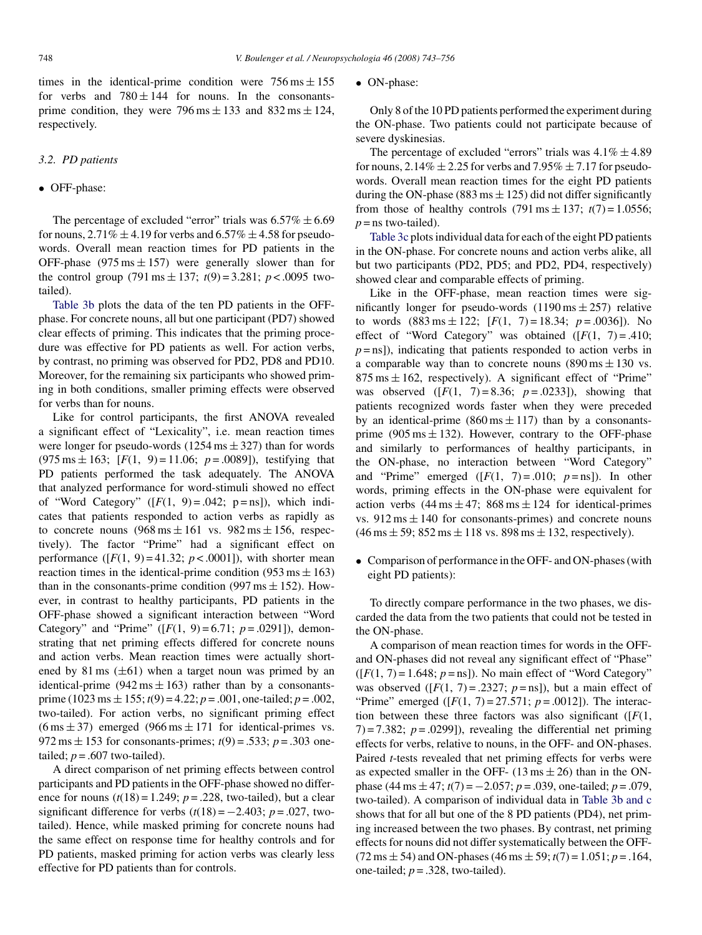times in the identical-prime condition were  $756 \text{ ms} \pm 155$ for verbs and  $780 \pm 144$  for nouns. In the consonantsprime condition, they were  $796 \text{ ms} \pm 133$  and  $832 \text{ ms} \pm 124$ , respectively.

# *3.2. PD patients*

#### • OFF-phase:

The percentage of excluded "error" trials was  $6.57\% \pm 6.69$ for nouns,  $2.71\% \pm 4.19$  for verbs and  $6.57\% \pm 4.58$  for pseudowords. Overall mean reaction times for PD patients in the OFF-phase (975 ms  $\pm$  157) were generally slower than for the control group (791 ms  $\pm$  137;  $t(9) = 3.281$ ;  $p < .0095$  twotailed).

[Table 3b](#page-4-0) plots the data of the ten PD patients in the OFFphase. For concrete nouns, all but one participant (PD7) showed clear effects of priming. This indicates that the priming procedure was effective for PD patients as well. For action verbs, by contrast, no priming was observed for PD2, PD8 and PD10. Moreover, for the remaining six participants who showed priming in both conditions, smaller priming effects were observed for verbs than for nouns.

Like for control participants, the first ANOVA revealed a significant effect of "Lexicality", i.e. mean reaction times were longer for pseudo-words (1254 ms  $\pm$  327) than for words  $(975 \text{ ms} \pm 163; [F(1, 9) = 11.06; p = .0089])$ , testifying that PD patients performed the task adequately. The ANOVA that analyzed performance for word-stimuli showed no effect of "Word Category"  $([F(1, 9) = .042; p = n_s])$ , which indicates that patients responded to action verbs as rapidly as to concrete nouns  $(968 \text{ ms} \pm 161 \text{ vs. } 982 \text{ ms} \pm 156, \text{ respectively})$ tively). The factor "Prime" had a significant effect on performance ( $[F(1, 9) = 41.32; p < .0001]$ ), with shorter mean reaction times in the identical-prime condition (953 ms  $\pm$  163) than in the consonants-prime condition (997 ms  $\pm$  152). However, in contrast to healthy participants, PD patients in the OFF-phase showed a significant interaction between "Word Category" and "Prime" ( $[F(1, 9) = 6.71; p = .0291]$ ), demonstrating that net priming effects differed for concrete nouns and action verbs. Mean reaction times were actually shortened by 81 ms  $(\pm 61)$  when a target noun was primed by an identical-prime (942 ms  $\pm$  163) rather than by a consonantsprime (1023 ms ± 155; *t*(9) = 4.22; *p* = .001, one-tailed; *p* = .002, two-tailed). For action verbs, no significant priming effect  $(6 \text{ ms} \pm 37)$  emerged  $(966 \text{ ms} \pm 171)$  for identical-primes vs. 972 ms  $\pm$  153 for consonants-primes; *t*(9) = .533; *p* = .303 onetailed;  $p = .607$  two-tailed).

A direct comparison of net priming effects between control participants and PD patients in the OFF-phase showed no difference for nouns  $(t(18) = 1.249; p = .228$ , two-tailed), but a clear significant difference for verbs  $(t(18) = -2.403; p = .027$ , twotailed). Hence, while masked priming for concrete nouns had the same effect on response time for healthy controls and for PD patients, masked priming for action verbs was clearly less effective for PD patients than for controls.

• ON-phase:

Only 8 of the 10 PD patients performed the experiment during the ON-phase. Two patients could not participate because of severe dyskinesias.

The percentage of excluded "errors" trials was  $4.1\% \pm 4.89$ for nouns,  $2.14\% \pm 2.25$  for verbs and  $7.95\% \pm 7.17$  for pseudowords. Overall mean reaction times for the eight PD patients during the ON-phase (883 ms  $\pm$  125) did not differ significantly from those of healthy controls (791 ms  $\pm$  137;  $t(7) = 1.0556$ ;  $p =$ ns two-tailed).

[Table 3c](#page-4-0) plots individual data for each of the eight PD patients in the ON-phase. For concrete nouns and action verbs alike, all but two participants (PD2, PD5; and PD2, PD4, respectively) showed clear and comparable effects of priming.

Like in the OFF-phase, mean reaction times were significantly longer for pseudo-words  $(1190 \text{ ms} \pm 257)$  relative to words  $(883 \text{ ms} \pm 122; [F(1, 7) = 18.34; p = .0036])$ . No effect of "Word Category" was obtained  $(F(1, 7) = .410;$  $p =$ ns]), indicating that patients responded to action verbs in a comparable way than to concrete nouns  $(890 \text{ ms} \pm 130 \text{ vs.})$  $875 \text{ ms} \pm 162$ , respectively). A significant effect of "Prime" was observed  $([F(1, 7) = 8.36; p = .0233])$ , showing that patients recognized words faster when they were preceded by an identical-prime  $(860 \text{ ms} \pm 117)$  than by a consonantsprime (905 ms  $\pm$  132). However, contrary to the OFF-phase and similarly to performances of healthy participants, in the ON-phase, no interaction between "Word Category" and "Prime" emerged  $([F(1, 7) = .010; p = n_s])$ . In other words, priming effects in the ON-phase were equivalent for action verbs  $(44 \text{ ms} \pm 47; 868 \text{ ms} \pm 124 \text{ for identical-primes})$ vs.  $912 \text{ ms} \pm 140$  for consonants-primes) and concrete nouns  $(46 \text{ ms} \pm 59; 852 \text{ ms} \pm 118 \text{ vs. } 898 \text{ ms} \pm 132, \text{ respectively}).$ 

• Comparison of performance in the OFF- and ON-phases (with eight PD patients):

To directly compare performance in the two phases, we discarded the data from the two patients that could not be tested in the ON-phase.

A comparison of mean reaction times for words in the OFFand ON-phases did not reveal any significant effect of "Phase"  $(F(1, 7) = 1.648; p = ns]$ ). No main effect of "Word Category" was observed  $([F(1, 7) = .2327; p = ns])$ , but a main effect of "Prime" emerged  $([F(1, 7) = 27.571; p = .0012]$ ). The interaction between these three factors was also significant ([*F*(1,  $(7) = 7.382$ ;  $p = .0299$ ]), revealing the differential net priming effects for verbs, relative to nouns, in the OFF- and ON-phases. Paired *t*-tests revealed that net priming effects for verbs were as expected smaller in the OFF-  $(13 \text{ ms} \pm 26)$  than in the ONphase (44 ms ± 47; *t*(7) = −2.057; *p* = .039, one-tailed; *p* = .079, two-tailed). A comparison of individual data in [Table 3b and c](#page-4-0) shows that for all but one of the 8 PD patients (PD4), net priming increased between the two phases. By contrast, net priming effects for nouns did not differ systematically between the OFF-  $(72 \text{ ms} \pm 54)$  and ON-phases  $(46 \text{ ms} \pm 59; t(7) = 1.051; p = .164,$ one-tailed;  $p = .328$ , two-tailed).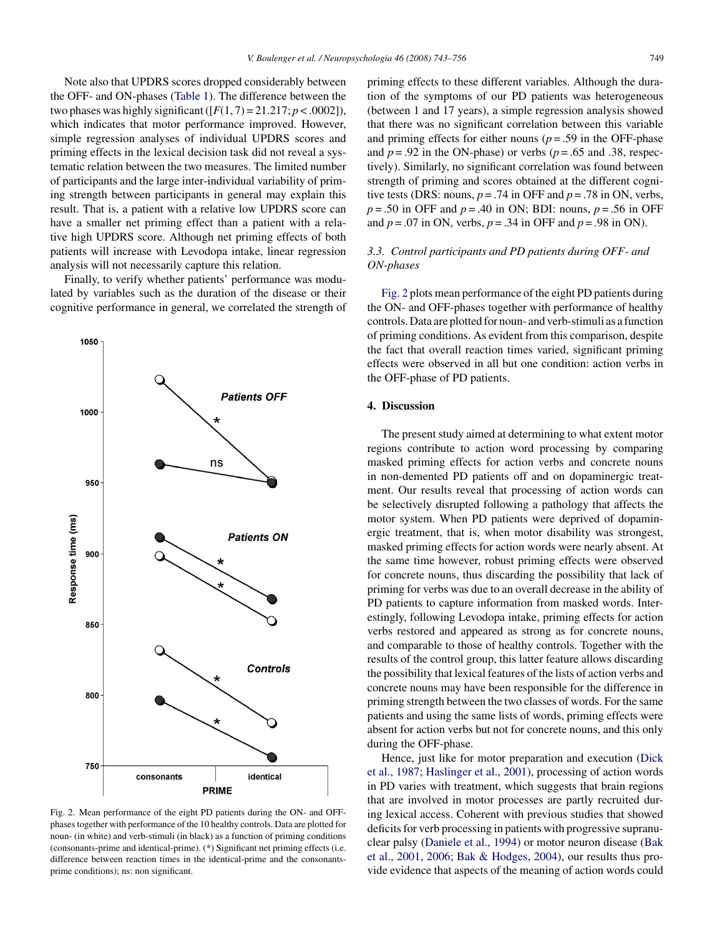Note also that UPDRS scores dropped considerably between the OFF- and ON-phases ([Table 1\).](#page-2-0) The difference between the two phases was highly significant  $([F(1, 7) = 21.217; p < .0002])$ , which indicates that motor performance improved. However, simple regression analyses of individual UPDRS scores and priming effects in the lexical decision task did not reveal a systematic relation between the two measures. The limited number of participants and the large inter-individual variability of priming strength between participants in general may explain this result. That is, a patient with a relative low UPDRS score can have a smaller net priming effect than a patient with a relative high UPDRS score. Although net priming effects of both patients will increase with Levodopa intake, linear regression analysis will not necessarily capture this relation.

Finally, to verify whether patients' performance was modulated by variables such as the duration of the disease or their cognitive performance in general, we correlated the strength of



Fig. 2. Mean performance of the eight PD patients during the ON- and OFFphases together with performance of the 10 healthy controls. Data are plotted for noun- (in white) and verb-stimuli (in black) as a function of priming conditions (consonants-prime and identical-prime). (\*) Significant net priming effects (i.e. difference between reaction times in the identical-prime and the consonantsprime conditions); ns: non significant.

priming effects to these different variables. Although the duration of the symptoms of our PD patients was heterogeneous (between 1 and 17 years), a simple regression analysis showed that there was no significant correlation between this variable and priming effects for either nouns ( $p = .59$  in the OFF-phase and  $p = .92$  in the ON-phase) or verbs ( $p = .65$  and .38, respectively). Similarly, no significant correlation was found between strength of priming and scores obtained at the different cognitive tests (DRS: nouns,  $p = .74$  in OFF and  $p = .78$  in ON, verbs, *p* = .50 in OFF and *p* = .40 in ON; BDI: nouns, *p* = .56 in OFF and  $p = .07$  in ON, verbs,  $p = .34$  in OFF and  $p = .98$  in ON).

# *3.3. Control participants and PD patients during OFF- and ON-phases*

Fig. 2 plots mean performance of the eight PD patients during the ON- and OFF-phases together with performance of healthy controls. Data are plotted for noun- and verb-stimuli as a function of priming conditions. As evident from this comparison, despite the fact that overall reaction times varied, significant priming effects were observed in all but one condition: action verbs in the OFF-phase of PD patients.

# **4. Discussion**

The present study aimed at determining to what extent motor regions contribute to action word processing by comparing masked priming effects for action verbs and concrete nouns in non-demented PD patients off and on dopaminergic treatment. Our results reveal that processing of action words can be selectively disrupted following a pathology that affects the motor system. When PD patients were deprived of dopaminergic treatment, that is, when motor disability was strongest, masked priming effects for action words were nearly absent. At the same time however, robust priming effects were observed for concrete nouns, thus discarding the possibility that lack of priming for verbs was due to an overall decrease in the ability of PD patients to capture information from masked words. Interestingly, following Levodopa intake, priming effects for action verbs restored and appeared as strong as for concrete nouns, and comparable to those of healthy controls. Together with the results of the control group, this latter feature allows discarding the possibility that lexical features of the lists of action verbs and concrete nouns may have been responsible for the difference in priming strength between the two classes of words. For the same patients and using the same lists of words, priming effects were absent for action verbs but not for concrete nouns, and this only during the OFF-phase.

Hence, just like for motor preparation and execution [\(Dick](#page-11-0) [et al., 1987; Haslinger et al., 2001\),](#page-11-0) processing of action words in PD varies with treatment, which suggests that brain regions that are involved in motor processes are partly recruited during lexical access. Coherent with previous studies that showed deficits for verb processing in patients with progressive supranuclear palsy [\(Daniele et al., 1994\)](#page-11-0) or motor neuron disease ([Bak](#page-11-0) [et al., 2001, 2006;](#page-11-0) [Bak & Hodges, 2004\),](#page-11-0) our results thus provide evidence that aspects of the meaning of action words could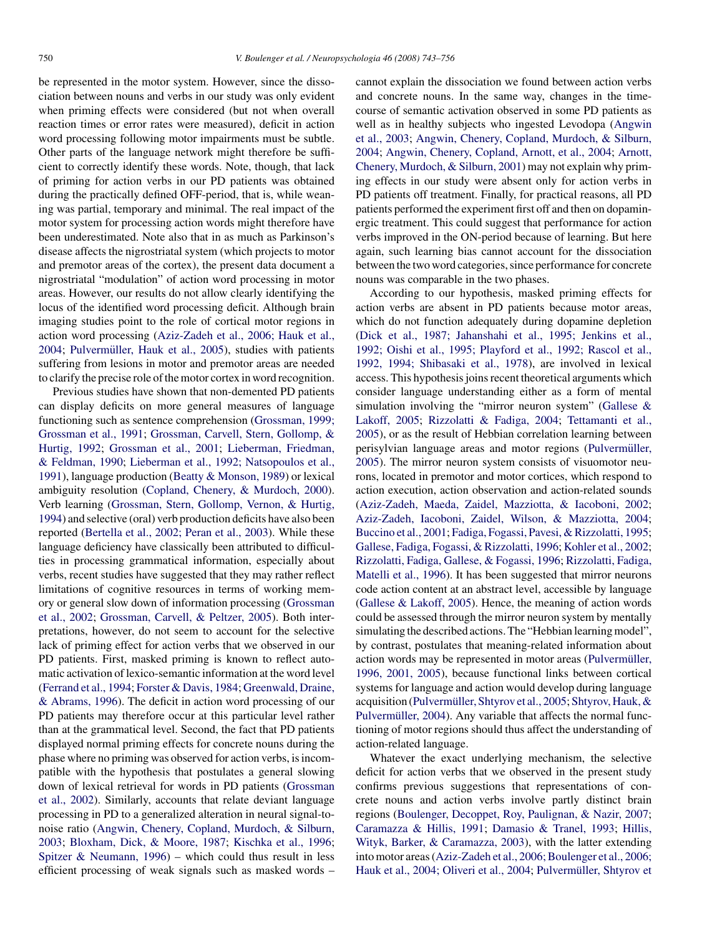be represented in the motor system. However, since the dissociation between nouns and verbs in our study was only evident when priming effects were considered (but not when overall reaction times or error rates were measured), deficit in action word processing following motor impairments must be subtle. Other parts of the language network might therefore be sufficient to correctly identify these words. Note, though, that lack of priming for action verbs in our PD patients was obtained during the practically defined OFF-period, that is, while weaning was partial, temporary and minimal. The real impact of the motor system for processing action words might therefore have been underestimated. Note also that in as much as Parkinson's disease affects the nigrostriatal system (which projects to motor and premotor areas of the cortex), the present data document a nigrostriatal "modulation" of action word processing in motor areas. However, our results do not allow clearly identifying the locus of the identified word processing deficit. Although brain imaging studies point to the role of cortical motor regions in action word processing ([Aziz-Zadeh et al., 2006; Hauk et al.,](#page-11-0) [2004;](#page-11-0) Pulvermüller, Hauk et al., 2005), studies with patients suffering from lesions in motor and premotor areas are needed to clarify the precise role of the motor cortex in word recognition.

Previous studies have shown that non-demented PD patients can display deficits on more general measures of language functioning such as sentence comprehension ([Grossman, 1999;](#page-11-0) [Grossman et al., 1991;](#page-11-0) [Grossman, Carvell, Stern, Gollomp, &](#page-11-0) [Hurtig, 1992;](#page-11-0) [Grossman et al., 2001;](#page-11-0) [Lieberman, Friedman,](#page-12-0) [& Feldman, 1990;](#page-12-0) [Lieberman et al., 1992; Natsopoulos et al.,](#page-12-0) [1991\),](#page-12-0) language production [\(Beatty & Monson, 1989\)](#page-11-0) or lexical ambiguity resolution [\(Copland, Chenery, & Murdoch, 2000\).](#page-11-0) Verb learning ([Grossman, Stern, Gollomp, Vernon, & Hurtig,](#page-11-0) [1994\) a](#page-11-0)nd selective (oral) verb production deficits have also been reported [\(Bertella et al., 2002; Peran et al., 2003\).](#page-11-0) While these language deficiency have classically been attributed to difficulties in processing grammatical information, especially about verbs, recent studies have suggested that they may rather reflect limitations of cognitive resources in terms of working memory or general slow down of information processing [\(Grossman](#page-11-0) [et al., 2002;](#page-11-0) [Grossman, Carvell, & Peltzer, 2005\).](#page-11-0) Both interpretations, however, do not seem to account for the selective lack of priming effect for action verbs that we observed in our PD patients. First, masked priming is known to reflect automatic activation of lexico-semantic information at the word level [\(Ferrand et al., 1994;](#page-11-0) [Forster & Davis, 1984;](#page-11-0) [Greenwald, Draine,](#page-11-0) [& Abrams, 1996\).](#page-11-0) The deficit in action word processing of our PD patients may therefore occur at this particular level rather than at the grammatical level. Second, the fact that PD patients displayed normal priming effects for concrete nouns during the phase where no priming was observed for action verbs, is incompatible with the hypothesis that postulates a general slowing down of lexical retrieval for words in PD patients [\(Grossman](#page-11-0) [et al., 2002\).](#page-11-0) Similarly, accounts that relate deviant language processing in PD to a generalized alteration in neural signal-tonoise ratio [\(Angwin, Chenery, Copland, Murdoch, & Silburn,](#page-10-0) [2003;](#page-10-0) [Bloxham, Dick, & Moore, 1987;](#page-11-0) [Kischka et al., 1996;](#page-12-0) Spitzer  $\&$  Neumann, 1996) – which could thus result in less efficient processing of weak signals such as masked words –

cannot explain the dissociation we found between action verbs and concrete nouns. In the same way, changes in the timecourse of semantic activation observed in some PD patients as well as in healthy subjects who ingested Levodopa ([Angwin](#page-10-0) [et al., 2003;](#page-10-0) [Angwin, Chenery, Copland, Murdoch, & Silburn,](#page-10-0) [2004;](#page-10-0) [Angwin, Chenery, Copland, Arnott, et al., 2004;](#page-10-0) [Arnott,](#page-11-0) [Chenery, Murdoch, & Silburn, 2001\) m](#page-11-0)ay not explain why priming effects in our study were absent only for action verbs in PD patients off treatment. Finally, for practical reasons, all PD patients performed the experiment first off and then on dopaminergic treatment. This could suggest that performance for action verbs improved in the ON-period because of learning. But here again, such learning bias cannot account for the dissociation between the two word categories, since performance for concrete nouns was comparable in the two phases.

According to our hypothesis, masked priming effects for action verbs are absent in PD patients because motor areas, which do not function adequately during dopamine depletion [\(Dick et al., 1987; Jahanshahi et al., 1995; Jenkins et al.,](#page-11-0) [1992; Oishi et al., 1995; Playford et al., 1992; Rascol et al.,](#page-11-0) [1992, 1994; Shibasaki et al., 1978\),](#page-11-0) are involved in lexical access. This hypothesis joins recent theoretical arguments which consider language understanding either as a form of mental simulation involving the "mirror neuron system" [\(Gallese &](#page-11-0) [Lakoff, 2005;](#page-11-0) [Rizzolatti & Fadiga, 2004;](#page-12-0) [Tettamanti et al.,](#page-13-0) [2005\),](#page-13-0) or as the result of Hebbian correlation learning between perisylvian language areas and motor regions (Pulvermüller, [2005\).](#page-12-0) The mirror neuron system consists of visuomotor neurons, located in premotor and motor cortices, which respond to action execution, action observation and action-related sounds [\(Aziz-Zadeh, Maeda, Zaidel, Mazziotta, & Iacoboni, 2002;](#page-11-0) [Aziz-Zadeh, Iacoboni, Zaidel, Wilson, & Mazziotta, 2004;](#page-11-0) [Buccino et al., 2001;](#page-11-0) [Fadiga, Fogassi, Pavesi, & Rizzolatti, 1995;](#page-11-0) [Gallese, Fadiga, Fogassi, & Rizzolatti, 1996;](#page-11-0) [Kohler et al., 2002;](#page-12-0) [Rizzolatti, Fadiga, Gallese, & Fogassi, 1996;](#page-12-0) [Rizzolatti, Fadiga,](#page-12-0) [Matelli et al., 1996\).](#page-12-0) It has been suggested that mirror neurons code action content at an abstract level, accessible by language [\(Gallese & Lakoff, 2005\).](#page-11-0) Hence, the meaning of action words could be assessed through the mirror neuron system by mentally simulating the described actions. The "Hebbian learning model", by contrast, postulates that meaning-related information about action words may be represented in motor areas (Pulvermüller, [1996, 2001, 2005\),](#page-12-0) because functional links between cortical systems for language and action would develop during language acquisition (Pulvermüller, Shtyrov et al., 2005; [Shtyrov, Hauk, &](#page-13-0) Pulvermüller, 2004). Any variable that affects the normal functioning of motor regions should thus affect the understanding of action-related language.

Whatever the exact underlying mechanism, the selective deficit for action verbs that we observed in the present study confirms previous suggestions that representations of concrete nouns and action verbs involve partly distinct brain regions [\(Boulenger, Decoppet, Roy, Paulignan, & Nazir, 2007;](#page-11-0) [Caramazza & Hillis, 1991;](#page-11-0) [Damasio & Tranel, 1993;](#page-11-0) [Hillis,](#page-12-0) [Wityk, Barker, & Caramazza, 2003\),](#page-12-0) with the latter extending into motor areas [\(Aziz-Zadeh et al., 2006; Boulenger et al., 2006;](#page-11-0) [Hauk et al., 2004; Oliveri et al., 2004;](#page-11-0) Pulvermüller, Shtyrov et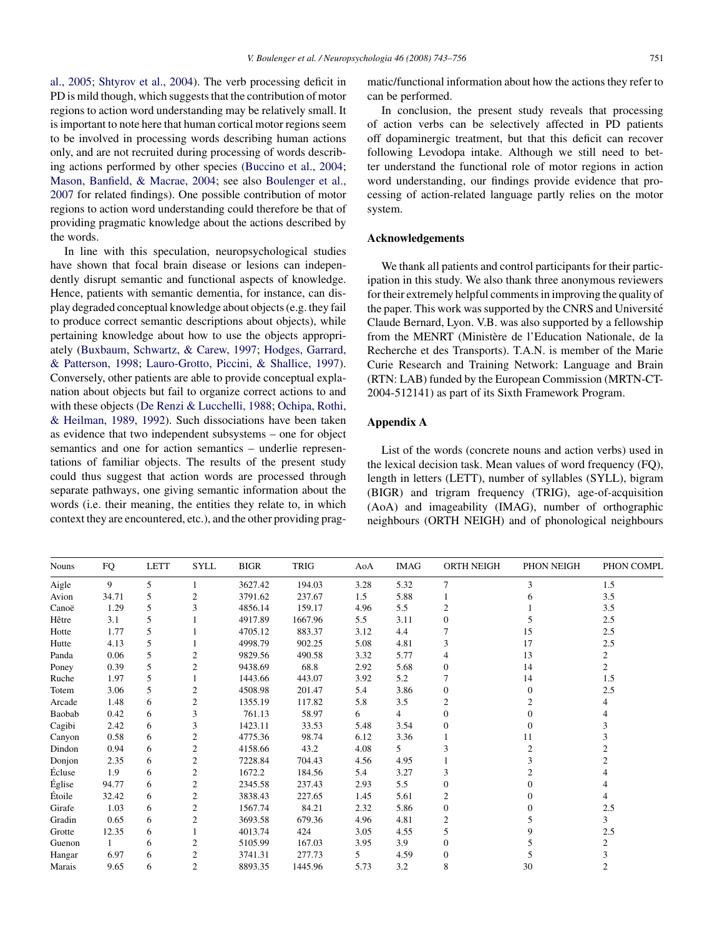[al., 2005;](#page-12-0) [Shtyrov et al., 2004\).](#page-13-0) The verb processing deficit in PD is mild though, which suggests that the contribution of motor regions to action word understanding may be relatively small. It is important to note here that human cortical motor regions seem to be involved in processing words describing human actions only, and are not recruited during processing of words describing actions performed by other species [\(Buccino et al., 2004;](#page-11-0) [Mason, Banfield, & Macrae, 2004;](#page-12-0) see also [Boulenger et al.,](#page-11-0) [2007](#page-11-0) for related findings). One possible contribution of motor regions to action word understanding could therefore be that of providing pragmatic knowledge about the actions described by the words.

In line with this speculation, neuropsychological studies have shown that focal brain disease or lesions can independently disrupt semantic and functional aspects of knowledge. Hence, patients with semantic dementia, for instance, can display degraded conceptual knowledge about objects (e.g. they fail to produce correct semantic descriptions about objects), while pertaining knowledge about how to use the objects appropriately ([Buxbaum, Schwartz, & Carew, 1997;](#page-11-0) [Hodges, Garrard,](#page-12-0) [& Patterson, 1998;](#page-12-0) [Lauro-Grotto, Piccini, & Shallice, 1997\).](#page-12-0) Conversely, other patients are able to provide conceptual explanation about objects but fail to organize correct actions to and with these objects [\(De Renzi & Lucchelli, 1988;](#page-11-0) [Ochipa, Rothi,](#page-12-0) [& Heilman, 1989, 1992\).](#page-12-0) Such dissociations have been taken as evidence that two independent subsystems – one for object semantics and one for action semantics – underlie representations of familiar objects. The results of the present study could thus suggest that action words are processed through separate pathways, one giving semantic information about the words (i.e. their meaning, the entities they relate to, in which context they are encountered, etc.), and the other providing pragmatic/functional information about how the actions they refer to can be performed.

In conclusion, the present study reveals that processing of action verbs can be selectively affected in PD patients off dopaminergic treatment, but that this deficit can recover following Levodopa intake. Although we still need to better understand the functional role of motor regions in action word understanding, our findings provide evidence that processing of action-related language partly relies on the motor system.

# **Acknowledgements**

We thank all patients and control participants for their participation in this study. We also thank three anonymous reviewers for their extremely helpful comments in improving the quality of the paper. This work was supported by the CNRS and Université Claude Bernard, Lyon. V.B. was also supported by a fellowship from the MENRT (Ministère de l'Education Nationale, de la Recherche et des Transports). T.A.N. is member of the Marie Curie Research and Training Network: Language and Brain (RTN: LAB) funded by the European Commission (MRTN-CT-2004-512141) as part of its Sixth Framework Program.

# **Appendix A**

List of the words (concrete nouns and action verbs) used in the lexical decision task. Mean values of word frequency (FQ), length in letters (LETT), number of syllables (SYLL), bigram (BIGR) and trigram frequency (TRIG), age-of-acquisition (AoA) and imageability (IMAG), number of orthographic neighbours (ORTH NEIGH) and of phonological neighbours

| <b>Nouns</b> | FQ    | <b>LETT</b> | SYLL           | <b>BIGR</b> | TRIG    | AoA  | <b>IMAG</b> | <b>ORTH NEIGH</b> | PHON NEIGH   | PHON COMPL     |
|--------------|-------|-------------|----------------|-------------|---------|------|-------------|-------------------|--------------|----------------|
| Aigle        | 9     | 5           |                | 3627.42     | 194.03  | 3.28 | 5.32        | 7                 | 3            | 1.5            |
| Avion        | 34.71 | 5           | $\overline{2}$ | 3791.62     | 237.67  | 1.5  | 5.88        |                   |              | 3.5            |
| Canoë        | 1.29  | 5           |                | 4856.14     | 159.17  | 4.96 | 5.5         |                   |              | 3.5            |
| Hêtre        | 3.1   | 5           |                | 4917.89     | 1667.96 | 5.5  | 3.11        | $\mathbf{0}$      |              | 2.5            |
| Hotte        | 1.77  | 5           |                | 4705.12     | 883.37  | 3.12 | 4.4         |                   | 15           | 2.5            |
| Hutte        | 4.13  | 5           |                | 4998.79     | 902.25  | 5.08 | 4.81        | 3                 | 17           | 2.5            |
| Panda        | 0.06  | 5           | $\mathfrak{2}$ | 9829.56     | 490.58  | 3.32 | 5.77        | 4                 | 13           | 2              |
| Poney        | 0.39  | 5           | $\overline{c}$ | 9438.69     | 68.8    | 2.92 | 5.68        | $\Omega$          | 14           | $\overline{2}$ |
| Ruche        | 1.97  | 5           |                | 1443.66     | 443.07  | 3.92 | 5.2         |                   | 14           | 1.5            |
| Totem        | 3.06  | 5           | $\overline{2}$ | 4508.98     | 201.47  | 5.4  | 3.86        | $\Omega$          | $\mathbf{0}$ | 2.5            |
| Arcade       | 1.48  | 6           | $\mathfrak{2}$ | 1355.19     | 117.82  | 5.8  | 3.5         | $\overline{c}$    |              |                |
| Baobab       | 0.42  | 6           | 3              | 761.13      | 58.97   | 6    | 4           | $\mathbf{0}$      |              |                |
| Cagibi       | 2.42  | 6           |                | 1423.11     | 33.53   | 5.48 | 3.54        | $\mathbf{0}$      | $\Omega$     | 3              |
| Canyon       | 0.58  | 6           | 2              | 4775.36     | 98.74   | 6.12 | 3.36        |                   | 11           |                |
| Dindon       | 0.94  | 6           | $\overline{2}$ | 4158.66     | 43.2    | 4.08 | 5           |                   | 2            |                |
| Donjon       | 2.35  | 6           | 2              | 7228.84     | 704.43  | 4.56 | 4.95        |                   |              |                |
| Écluse       | 1.9   | 6           | $\mathfrak{2}$ | 1672.2      | 184.56  | 5.4  | 3.27        |                   |              |                |
| Église       | 94.77 | 6           | $\overline{c}$ | 2345.58     | 237.43  | 2.93 | 5.5         | $\Omega$          |              |                |
| Étoile       | 32.42 | 6           | $\overline{2}$ | 3838.43     | 227.65  | 1.45 | 5.61        | $\overline{2}$    | $\Omega$     |                |
| Girafe       | 1.03  | 6           | $\overline{2}$ | 1567.74     | 84.21   | 2.32 | 5.86        | $\overline{0}$    |              | 2.5            |
| Gradin       | 0.65  | 6           | $\mathfrak{2}$ | 3693.58     | 679.36  | 4.96 | 4.81        |                   |              | 3              |
| Grotte       | 12.35 | 6           |                | 4013.74     | 424     | 3.05 | 4.55        |                   |              | 2.5            |
| Guenon       | 1     | 6           | 2              | 5105.99     | 167.03  | 3.95 | 3.9         | $\Omega$          |              | 2              |
| Hangar       | 6.97  | 6           | $\mathfrak{2}$ | 3741.31     | 277.73  | 5    | 4.59        | $\mathbf{0}$      |              | 3              |
| Marais       | 9.65  | 6           | $\overline{c}$ | 8893.35     | 1445.96 | 5.73 | 3.2         | 8                 | 30           | 2              |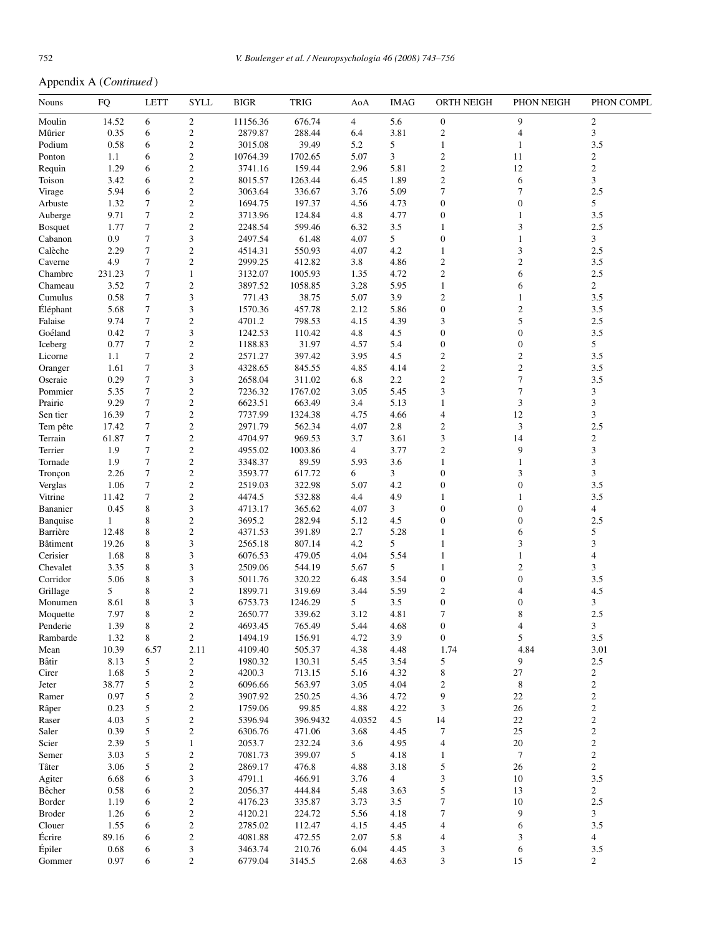# Appendix A (*Continued* )

| Nouns                | FQ           | <b>LETT</b>                | <b>SYLL</b>             | <b>BIGR</b>        | <b>TRIG</b>      | AoA            | <b>IMAG</b>              | ORTH NEIGH                       | PHON NEIGH                   | PHON COMPL              |
|----------------------|--------------|----------------------------|-------------------------|--------------------|------------------|----------------|--------------------------|----------------------------------|------------------------------|-------------------------|
| Moulin               | 14.52        | 6                          | 2                       | 11156.36           | 676.74           | $\overline{4}$ | 5.6                      | $\boldsymbol{0}$                 | 9                            | $\overline{c}$          |
| Mûrier               | 0.35         | 6                          | $\overline{c}$          | 2879.87            | 288.44           | 6.4            | 3.81                     | $\mathfrak{2}$                   | $\overline{4}$               | $\mathfrak{Z}$          |
| Podium               | 0.58         | 6                          | 2                       | 3015.08            | 39.49            | 5.2            | 5                        | $\mathbf{1}$                     | 1                            | 3.5                     |
| Ponton               | 1.1          | 6                          | $\overline{\mathbf{c}}$ | 10764.39           | 1702.65          | 5.07           | 3                        | $\mathfrak{2}$                   | 11                           | $\sqrt{2}$              |
| Requin               | 1.29         | 6                          | $\overline{c}$          | 3741.16            | 159.44           | 2.96           | 5.81                     | $\mathfrak{2}$                   | 12                           | $\sqrt{2}$              |
| Toison               | 3.42         | 6                          | 2                       | 8015.57            | 1263.44          | 6.45           | 1.89                     | $\mathfrak{2}$                   | 6                            | 3                       |
| Virage               | 5.94         | 6                          | $\overline{c}$          | 3063.64            | 336.67           | 3.76           | 5.09                     | $\tau$                           | $\tau$                       | 2.5                     |
| Arbuste              | 1.32         | $\overline{7}$             | $\mathbf{c}$            | 1694.75            | 197.37           | 4.56           | 4.73                     | $\boldsymbol{0}$                 | $\boldsymbol{0}$             | 5                       |
| Auberge              | 9.71         | 7                          | 2                       | 3713.96            | 124.84           | 4.8            | 4.77                     | $\boldsymbol{0}$                 | 1                            | 3.5                     |
| <b>Bosquet</b>       | 1.77         | $\tau$                     | $\overline{c}$          | 2248.54            | 599.46           | 6.32           | 3.5                      | $\mathbf{1}$                     | 3                            | 2.5                     |
| Cabanon              | 0.9          | 7                          | 3                       | 2497.54            | 61.48            | 4.07           | 5                        | $\boldsymbol{0}$                 | 1                            | 3                       |
| Calèche<br>Caverne   | 2.29<br>4.9  | $\boldsymbol{7}$<br>$\tau$ | 2<br>$\overline{c}$     | 4514.31            | 550.93<br>412.82 | 4.07<br>3.8    | 4.2<br>4.86              | $\mathbf{1}$                     | 3<br>$\overline{\mathbf{c}}$ | 2.5                     |
| Chambre              | 231.23       | $\overline{7}$             | $\mathbf{1}$            | 2999.25<br>3132.07 | 1005.93          | 1.35           | 4.72                     | $\overline{c}$<br>$\mathfrak{2}$ | 6                            | 3.5<br>2.5              |
| Chameau              | 3.52         | 7                          | 2                       | 3897.52            | 1058.85          | 3.28           | 5.95                     | $\mathbf{1}$                     | 6                            | $\boldsymbol{2}$        |
| Cumulus              | 0.58         | $\boldsymbol{7}$           | 3                       | 771.43             | 38.75            | 5.07           | 3.9                      | $\mathfrak{2}$                   | 1                            | 3.5                     |
| Éléphant             | 5.68         | 7                          | 3                       | 1570.36            | 457.78           | 2.12           | 5.86                     | $\boldsymbol{0}$                 | $\boldsymbol{2}$             | 3.5                     |
| Falaise              | 9.74         | 7                          | 2                       | 4701.2             | 798.53           | 4.15           | 4.39                     | 3                                | 5                            | 2.5                     |
| Goéland              | 0.42         | $\boldsymbol{7}$           | 3                       | 1242.53            | 110.42           | 4.8            | 4.5                      | $\boldsymbol{0}$                 | $\boldsymbol{0}$             | 3.5                     |
| Iceberg              | 0.77         | 7                          | $\mathbf{c}$            | 1188.83            | 31.97            | 4.57           | 5.4                      | $\boldsymbol{0}$                 | $\boldsymbol{0}$             | 5                       |
| Licorne              | 1.1          | 7                          | $\overline{c}$          | 2571.27            | 397.42           | 3.95           | 4.5                      | $\overline{c}$                   | 2                            | 3.5                     |
| Oranger              | 1.61         | $\tau$                     | 3                       | 4328.65            | 845.55           | 4.85           | 4.14                     | $\mathfrak{2}$                   | $\mathfrak{2}$               | 3.5                     |
| Oseraie              | 0.29         | $\overline{7}$             | 3                       | 2658.04            | 311.02           | 6.8            | 2.2                      | $\mathfrak{2}$                   | 7                            | 3.5                     |
| Pommier              | 5.35         | $\tau$                     | $\mathbf{c}$            | 7236.32            | 1767.02          | 3.05           | 5.45                     | 3                                | $\tau$                       | 3                       |
| Prairie              | 9.29         | $\tau$                     | $\overline{c}$          | 6623.51            | 663.49           | 3.4            | 5.13                     | $\mathbf{1}$                     | 3                            | 3                       |
| Sen tier             | 16.39        | $\overline{7}$             | $\overline{c}$          | 7737.99            | 1324.38          | 4.75           | 4.66                     | $\overline{\mathcal{A}}$         | 12                           | 3                       |
| Tem pête             | 17.42        | $\tau$                     | $\overline{c}$          | 2971.79            | 562.34           | 4.07           | 2.8                      | $\overline{c}$                   | 3                            | 2.5                     |
| Terrain              | 61.87        | $\boldsymbol{7}$           | $\overline{\mathbf{c}}$ | 4704.97            | 969.53           | 3.7            | 3.61                     | 3                                | 14                           | $\overline{c}$          |
| Terrier              | 1.9          | 7                          | $\mathbf{c}$            | 4955.02            | 1003.86          | 4              | 3.77                     | $\overline{c}$                   | 9                            | 3                       |
| Tornade              | 1.9          | 7                          | $\overline{c}$          | 3348.37            | 89.59            | 5.93           | 3.6                      | $\mathbf{1}$                     | $\mathbf{1}$                 | 3                       |
| Tronçon              | 2.26         | $\overline{7}$             | $\mathbf{c}$            | 3593.77            | 617.72           | 6              | 3                        | $\boldsymbol{0}$                 | 3                            | 3                       |
| Verglas              | 1.06         | $\overline{7}$             | $\mathbf{c}$            | 2519.03            | 322.98           | 5.07           | 4.2                      | $\boldsymbol{0}$                 | $\boldsymbol{0}$             | 3.5                     |
| Vitrine              | 11.42        | $\overline{7}$             | $\overline{c}$          | 4474.5             | 532.88           | 4.4            | 4.9                      | $\mathbf{1}$                     | 1                            | 3.5                     |
| Bananier             | 0.45         | 8                          | 3                       | 4713.17            | 365.62           | 4.07           | 3                        | $\boldsymbol{0}$                 | $\boldsymbol{0}$             | $\overline{4}$          |
| Banquise             | $\mathbf{1}$ | 8                          | $\mathbf{c}$            | 3695.2             | 282.94           | 5.12           | 4.5                      | $\boldsymbol{0}$                 | $\boldsymbol{0}$             | 2.5                     |
| Barrière             | 12.48        | 8                          | $\mathbf{c}$            | 4371.53            | 391.89           | 2.7            | 5.28                     | $\mathbf{1}$                     | 6                            | 5                       |
| Bâtiment             | 19.26        | 8                          | 3                       | 2565.18            | 807.14           | 4.2<br>4.04    | 5                        | $\mathbf{1}$                     | 3                            | 3                       |
| Cerisier             | 1.68<br>3.35 | 8<br>8                     | 3<br>3                  | 6076.53            | 479.05<br>544.19 | 5.67           | 5.54<br>5                | $\mathbf{1}$<br>$\mathbf{1}$     | 1<br>2                       | 4<br>3                  |
| Chevalet<br>Corridor | 5.06         | 8                          | 3                       | 2509.06<br>5011.76 | 320.22           | 6.48           | 3.54                     | $\boldsymbol{0}$                 | $\boldsymbol{0}$             | 3.5                     |
| Grillage             | 5            | 8                          | 2                       | 1899.71            | 319.69           | 3.44           | 5.59                     | $\mathfrak{2}$                   | 4                            | 4.5                     |
| Monumen              | 8.61         | 8                          | 3                       | 6753.73            | 1246.29          | 5              | 3.5                      | $\boldsymbol{0}$                 | $\boldsymbol{0}$             | 3                       |
| Moquette             | 7.97         | 8                          | $\overline{c}$          | 2650.77            | 339.62           | 3.12           | 4.81                     | $\tau$                           | 8                            | 2.5                     |
| Penderie             | 1.39         | 8                          | $\overline{\mathbf{c}}$ | 4693.45            | 765.49           | 5.44           | 4.68                     | 0                                | 4                            | $\mathfrak{Z}$          |
| Rambarde             | 1.32         | 8                          | $\overline{c}$          | 1494.19            | 156.91           | 4.72           | 3.9                      | $\boldsymbol{0}$                 | 5                            | 3.5                     |
| Mean                 | 10.39        | 6.57                       | 2.11                    | 4109.40            | 505.37           | 4.38           | 4.48                     | 1.74                             | 4.84                         | 3.01                    |
| Bâtir                | 8.13         | 5                          | $\overline{\mathbf{c}}$ | 1980.32            | 130.31           | 5.45           | 3.54                     | 5                                | 9                            | $2.5\,$                 |
| Cirer                | 1.68         | 5                          | $\overline{\mathbf{c}}$ | 4200.3             | 713.15           | 5.16           | 4.32                     | 8                                | 27                           | $\sqrt{2}$              |
| Jeter                | 38.77        | 5                          | $\overline{c}$          | 6096.66            | 563.97           | 3.05           | 4.04                     | $\overline{c}$                   | 8                            | $\sqrt{2}$              |
| Ramer                | 0.97         | 5                          | $\overline{\mathbf{c}}$ | 3907.92            | 250.25           | 4.36           | 4.72                     | 9                                | 22                           | $\boldsymbol{2}$        |
| Râper                | 0.23         | 5                          | $\overline{\mathbf{c}}$ | 1759.06            | 99.85            | 4.88           | 4.22                     | 3                                | 26                           | $\overline{c}$          |
| Raser                | 4.03         | 5                          | $\overline{\mathbf{c}}$ | 5396.94            | 396.9432         | 4.0352         | 4.5                      | 14                               | $22\,$                       | $\overline{\mathbf{c}}$ |
| Saler                | 0.39         | 5                          | $\overline{c}$          | 6306.76            | 471.06           | 3.68           | 4.45                     | 7                                | 25                           | $\boldsymbol{2}$        |
| Scier                | 2.39         | 5                          | $\mathbf{1}$            | 2053.7             | 232.24           | 3.6            | 4.95                     | 4                                | $20\,$                       | $\overline{c}$          |
| Semer                | 3.03         | 5                          | $\overline{\mathbf{c}}$ | 7081.73            | 399.07           | 5              | 4.18                     | $\mathbf{1}$                     | $\overline{7}$               | $\sqrt{2}$              |
| Tâter                | 3.06         | 5                          | $\overline{\mathbf{c}}$ | 2869.17            | 476.8            | 4.88           | 3.18                     | 5                                | 26                           | $\mathfrak{2}$          |
| Agiter               | 6.68         | 6                          | 3                       | 4791.1             | 466.91           | 3.76           | $\overline{\mathcal{A}}$ | 3                                | 10                           | 3.5                     |
| Bêcher               | 0.58         | 6                          | $\overline{c}$          | 2056.37            | 444.84           | 5.48           | 3.63                     | 5                                | 13                           | $\overline{c}$          |
| Border               | 1.19         | 6                          | $\overline{\mathbf{c}}$ | 4176.23            | 335.87           | 3.73           | 3.5                      | 7                                | 10                           | 2.5                     |
| <b>Broder</b>        | 1.26         | 6                          | $\overline{c}$          | 4120.21            | 224.72           | 5.56           | 4.18                     | 7                                | 9                            | 3                       |
| Clouer               | 1.55         | 6                          | $\overline{c}$          | 2785.02            | 112.47           | 4.15           | 4.45                     | 4                                | 6                            | 3.5                     |
| Écrire               | 89.16        | 6                          | $\overline{c}$          | 4081.88            | 472.55           | 2.07           | 5.8                      | 4                                | 3                            | 4                       |
| Épiler               | 0.68         | 6                          | 3<br>$\overline{c}$     | 3463.74            | 210.76           | 6.04           | 4.45                     | 3<br>3                           | 6<br>15                      | 3.5<br>$\overline{c}$   |
| Gommer               | 0.97         | 6                          |                         | 6779.04            | 3145.5           | 2.68           | 4.63                     |                                  |                              |                         |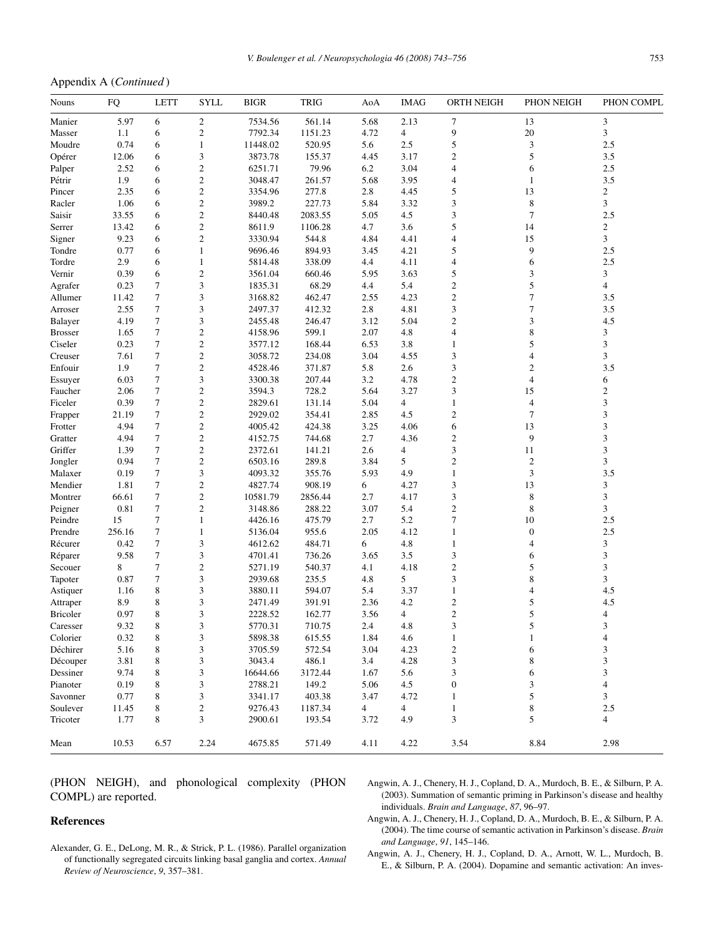<span id="page-10-0"></span>

| Appendix A (Continued) |  |  |  |
|------------------------|--|--|--|
|------------------------|--|--|--|

| Nouns           | FQ     | <b>LETT</b>      | <b>SYLL</b>      | <b>BIGR</b> | <b>TRIG</b> | AoA  | <b>IMAG</b>    | ORTH NEIGH       | PHON NEIGH              | PHON COMPL              |
|-----------------|--------|------------------|------------------|-------------|-------------|------|----------------|------------------|-------------------------|-------------------------|
| Manier          | 5.97   | 6                | $\mathbf{2}$     | 7534.56     | 561.14      | 5.68 | 2.13           | $\tau$           | 13                      | 3                       |
| Masser          | 1.1    | 6                | $\mathbf{2}$     | 7792.34     | 1151.23     | 4.72 | $\overline{4}$ | 9                | 20                      | 3                       |
| Moudre          | 0.74   | 6                | $\mathbf{1}$     | 11448.02    | 520.95      | 5.6  | 2.5            | 5                | 3                       | 2.5                     |
| Opérer          | 12.06  | 6                | 3                | 3873.78     | 155.37      | 4.45 | 3.17           | $\boldsymbol{2}$ | 5                       | 3.5                     |
| Palper          | 2.52   | 6                | $\boldsymbol{2}$ | 6251.71     | 79.96       | 6.2  | 3.04           | $\overline{4}$   | 6                       | 2.5                     |
| Pétrir          | 1.9    | 6                | $\mathbf{2}$     | 3048.47     | 261.57      | 5.68 | 3.95           | $\overline{4}$   | 1                       | 3.5                     |
| Pincer          | 2.35   | 6                | $\mathbf{2}$     | 3354.96     | 277.8       | 2.8  | 4.45           | 5                | 13                      | 2                       |
| Racler          | 1.06   | 6                | $\mathbf{2}$     | 3989.2      | 227.73      | 5.84 | 3.32           | 3                | $\,$ 8 $\,$             | 3                       |
| Saisir          | 33.55  | 6                | $\overline{c}$   | 8440.48     | 2083.55     | 5.05 | 4.5            | 3                | 7                       | 2.5                     |
| Serrer          | 13.42  | 6                | $\mathbf{2}$     | 8611.9      | 1106.28     | 4.7  | 3.6            | 5                | 14                      | 2                       |
| Signer          | 9.23   | 6                | $\overline{c}$   | 3330.94     | 544.8       | 4.84 | 4.41           | $\overline{4}$   | 15                      | 3                       |
| Tondre          | 0.77   | 6                | 1                | 9696.46     | 894.93      | 3.45 | 4.21           | 5                | 9                       | 2.5                     |
| Tordre          | 2.9    | 6                | $\mathbf{1}$     | 5814.48     | 338.09      | 4.4  | 4.11           | $\overline{4}$   | 6                       | 2.5                     |
| Vernir          | 0.39   | 6                | $\mathbf{2}$     | 3561.04     | 660.46      | 5.95 | 3.63           | 5                | 3                       | 3                       |
| Agrafer         | 0.23   | 7                | 3                | 1835.31     | 68.29       | 4.4  | 5.4            | $\sqrt{2}$       | 5                       | 4                       |
| Allumer         | 11.42  | 7                | 3                | 3168.82     | 462.47      | 2.55 | 4.23           | $\sqrt{2}$       | 7                       | 3.5                     |
| Arroser         | 2.55   | $\tau$           | 3                | 2497.37     | 412.32      | 2.8  | 4.81           | $\mathfrak{Z}$   | 7                       | 3.5                     |
| Balayer         | 4.19   | 7                | 3                | 2455.48     | 246.47      | 3.12 | 5.04           | $\mathfrak{2}$   | 3                       | 4.5                     |
| <b>Brosser</b>  | 1.65   | 7                | $\mathbf{2}$     | 4158.96     | 599.1       | 2.07 | 4.8            | $\overline{4}$   | 8                       | 3                       |
| Ciseler         | 0.23   | $\tau$           | $\mathbf{2}$     | 3577.12     | 168.44      | 6.53 | 3.8            | 1                | 5                       | 3                       |
| Creuser         | 7.61   | 7                | $\boldsymbol{2}$ | 3058.72     | 234.08      | 3.04 | 4.55           | 3                | 4                       | 3                       |
| Enfouir         | 1.9    | $\tau$           | $\boldsymbol{2}$ | 4528.46     | 371.87      | 5.8  | 2.6            | $\mathfrak{Z}$   | $\overline{\mathbf{c}}$ | 3.5                     |
| Essuyer         | 6.03   | $\tau$           | 3                | 3300.38     | 207.44      | 3.2  | 4.78           | $\mathbf{2}$     | 4                       | 6                       |
| Faucher         | 2.06   | 7                | $\mathbf{2}$     | 3594.3      | 728.2       | 5.64 | 3.27           | 3                | 15                      | $\boldsymbol{2}$        |
| Ficeler         | 0.39   | $\tau$           | $\sqrt{2}$       | 2829.61     | 131.14      | 5.04 | $\overline{4}$ | 1                | 4                       | 3                       |
| Frapper         | 21.19  | $\tau$           | $\mathbf{2}$     | 2929.02     | 354.41      | 2.85 | 4.5            | $\mathfrak{2}$   | 7                       | 3                       |
| Frotter         | 4.94   | 7                | $\boldsymbol{2}$ | 4005.42     | 424.38      | 3.25 | 4.06           | 6                | 13                      | 3                       |
| Gratter         | 4.94   | $\tau$           | $\overline{c}$   | 4152.75     | 744.68      | 2.7  | 4.36           | $\sqrt{2}$       | 9                       | 3                       |
| Griffer         | 1.39   | $\tau$           | $\mathbf{2}$     | 2372.61     | 141.21      | 2.6  | 4              | $\mathfrak{Z}$   | 11                      | 3                       |
| Jongler         | 0.94   | 7                | $\overline{c}$   | 6503.16     | 289.8       | 3.84 | 5              | $\mathfrak{2}$   | $\mathfrak{2}$          | 3                       |
| Malaxer         | 0.19   | $\tau$           | $\mathfrak{Z}$   | 4093.32     | 355.76      | 5.93 | 4.9            | $\mathbf{1}$     | 3                       | 3.5                     |
| Mendier         | 1.81   | 7                | $\mathbf{2}$     | 4827.74     | 908.19      | 6    | 4.27           | 3                | 13                      | 3                       |
| Montrer         | 66.61  | $\tau$           | $\boldsymbol{2}$ | 10581.79    | 2856.44     | 2.7  | 4.17           | $\mathfrak{Z}$   | 8                       | 3                       |
| Peigner         | 0.81   | $\boldsymbol{7}$ | $\sqrt{2}$       | 3148.86     | 288.22      | 3.07 | 5.4            | $\sqrt{2}$       | $\,$ 8 $\,$             | 3                       |
| Peindre         | 15     | 7                | $\mathbf{1}$     | 4426.16     | 475.79      | 2.7  | 5.2            | $\tau$           | 10                      | 2.5                     |
| Prendre         | 256.16 | 7                | 1                | 5136.04     | 955.6       | 2.05 | 4.12           | 1                | $\boldsymbol{0}$        | 2.5                     |
| Récurer         | 0.42   | $\tau$           | 3                | 4612.62     | 484.71      | 6    | 4.8            | 1                | 4                       | 3                       |
| Réparer         | 9.58   | $\tau$           | 3                | 4701.41     | 736.26      | 3.65 | 3.5            | $\mathfrak{Z}$   | 6                       | 3                       |
| Secouer         | 8      | 7                | $\mathbf{2}$     | 5271.19     | 540.37      | 4.1  | 4.18           | $\sqrt{2}$       | 5                       | 3                       |
| Tapoter         | 0.87   | $\tau$           | 3                | 2939.68     | 235.5       | 4.8  | 5              | $\mathfrak{Z}$   | 8                       | 3                       |
| Astiquer        | 1.16   | 8                | 3                | 3880.11     | 594.07      | 5.4  | 3.37           | 1                | 4                       | 4.5                     |
| Attraper        | 8.9    | 8                | 3                | 2471.49     | 391.91      | 2.36 | 4.2            | $\mathfrak{2}$   | 5                       | 4.5                     |
| <b>Bricoler</b> | 0.97   | 8                | 3                | 2228.52     | 162.77      | 3.56 | $\overline{4}$ | $\overline{c}$   | 5                       | 4                       |
| Caresser        | 9.32   | 8                | 3                | 5770.31     | 710.75      | 2.4  | 4.8            | 3                | 5                       | 3                       |
| Colorier        | 0.32   | 8                | 3                | 5898.38     | 615.55      | 1.84 | 4.6            | $\mathbf{1}$     | 1                       | $\overline{\mathbf{4}}$ |
| Déchirer        | 5.16   | 8                | $\sqrt{3}$       | 3705.59     | 572.54      | 3.04 | 4.23           | $\boldsymbol{2}$ | 6                       | 3                       |
| Découper        | 3.81   | 8                | 3                | 3043.4      | 486.1       | 3.4  | 4.28           | 3                | 8                       | 3                       |
| Dessiner        | 9.74   | 8                | 3                | 16644.66    | 3172.44     | 1.67 | 5.6            | 3                | 6                       | 3                       |
| Pianoter        | 0.19   | 8                | $\sqrt{3}$       | 2788.21     | 149.2       | 5.06 | 4.5            | $\boldsymbol{0}$ | 3                       | 4                       |
| Savonner        | 0.77   | 8                | 3                | 3341.17     | 403.38      | 3.47 | 4.72           | 1                | 5                       | 3                       |
| Soulever        | 11.45  | 8                | $\mathbf{2}$     | 9276.43     | 1187.34     | 4    | 4              | 1                | 8                       | 2.5                     |
| Tricoter        | 1.77   | 8                | 3                | 2900.61     | 193.54      | 3.72 | 4.9            | 3                | 5                       | 4                       |
| Mean            | 10.53  | 6.57             | 2.24             | 4675.85     | 571.49      | 4.11 | 4.22           | 3.54             | 8.84                    | 2.98                    |

(PHON NEIGH), and phonological complexity (PHON COMPL) are reported.

# Angwin, A. J., Chenery, H. J., Copland, D. A., Murdoch, B. E., & Silburn, P. A. (2003). Summation of semantic priming in Parkinson's disease and healthy individuals. *Brain and Language*, *87*, 96–97.

# **References**

- Angwin, A. J., Chenery, H. J., Copland, D. A., Murdoch, B. E., & Silburn, P. A. (2004). The time course of semantic activation in Parkinson's disease. *Brain and Language*, *91*, 145–146.
- Alexander, G. E., DeLong, M. R., & Strick, P. L. (1986). Parallel organization of functionally segregated circuits linking basal ganglia and cortex. *Annual Review of Neuroscience*, *9*, 357–381.
- Angwin, A. J., Chenery, H. J., Copland, D. A., Arnott, W. L., Murdoch, B. E., & Silburn, P. A. (2004). Dopamine and semantic activation: An inves-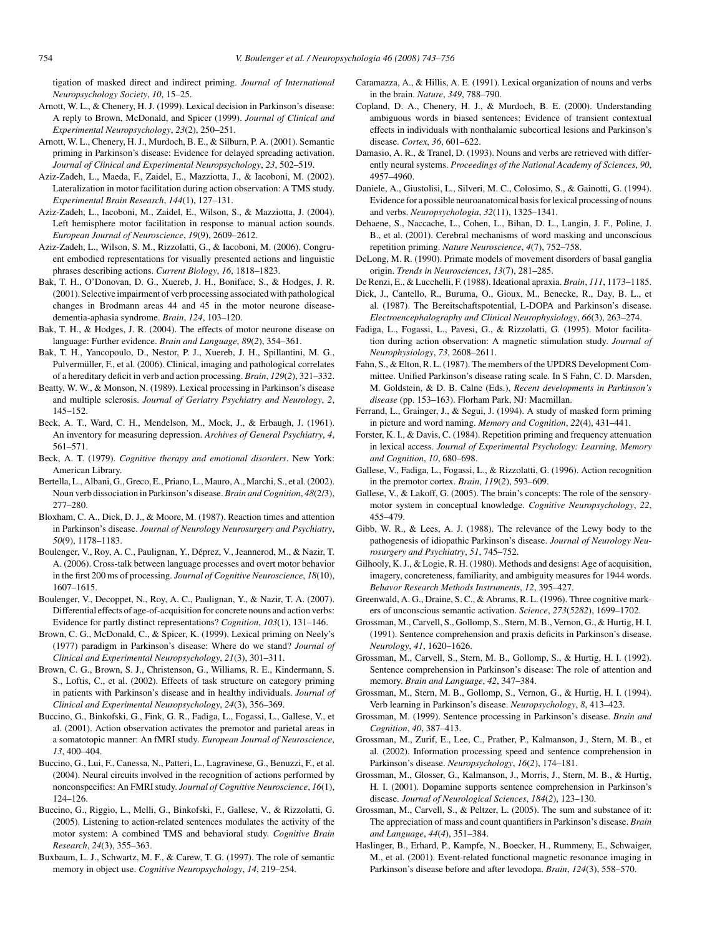<span id="page-11-0"></span>tigation of masked direct and indirect priming. *Journal of International Neuropsychology Society*, *10*, 15–25.

- Arnott, W. L., & Chenery, H. J. (1999). Lexical decision in Parkinson's disease: A reply to Brown, McDonald, and Spicer (1999). *Journal of Clinical and Experimental Neuropsychology*, *23*(2), 250–251.
- Arnott, W. L., Chenery, H. J., Murdoch, B. E., & Silburn, P. A. (2001). Semantic priming in Parkinson's disease: Evidence for delayed spreading activation. *Journal of Clinical and Experimental Neuropsychology*, *23*, 502–519.
- Aziz-Zadeh, L., Maeda, F., Zaidel, E., Mazziotta, J., & Iacoboni, M. (2002). Lateralization in motor facilitation during action observation: A TMS study. *Experimental Brain Research*, *144*(1), 127–131.
- Aziz-Zadeh, L., Iacoboni, M., Zaidel, E., Wilson, S., & Mazziotta, J. (2004). Left hemisphere motor facilitation in response to manual action sounds. *European Journal of Neuroscience*, *19*(9), 2609–2612.
- Aziz-Zadeh, L., Wilson, S. M., Rizzolatti, G., & Iacoboni, M. (2006). Congruent embodied representations for visually presented actions and linguistic phrases describing actions. *Current Biology*, *16*, 1818–1823.
- Bak, T. H., O'Donovan, D. G., Xuereb, J. H., Boniface, S., & Hodges, J. R. (2001). Selective impairment of verb processing associated with pathological changes in Brodmann areas 44 and 45 in the motor neurone diseasedementia-aphasia syndrome. *Brain*, *124*, 103–120.
- Bak, T. H., & Hodges, J. R. (2004). The effects of motor neurone disease on language: Further evidence. *Brain and Language*, *89*(*2*), 354–361.
- Bak, T. H., Yancopoulo, D., Nestor, P. J., Xuereb, J. H., Spillantini, M. G., Pulvermüller, F., et al. (2006). Clinical, imaging and pathological correlates of a hereditary deficit in verb and action processing. *Brain*, *129*(*2*), 321–332.
- Beatty, W. W., & Monson, N. (1989). Lexical processing in Parkinson's disease and multiple sclerosis. *Journal of Geriatry Psychiatry and Neurology*, *2*, 145–152.
- Beck, A. T., Ward, C. H., Mendelson, M., Mock, J., & Erbaugh, J. (1961). An inventory for measuring depression. *Archives of General Psychiatry*, *4*, 561–571.
- Beck, A. T. (1979). *Cognitive therapy and emotional disorders*. New York: American Library.
- Bertella, L., Albani, G., Greco, E., Priano, L., Mauro, A., Marchi, S., et al. (2002). Noun verb dissociation in Parkinson's disease. *Brain and Cognition*, *48*(2/3), 277–280.
- Bloxham, C. A., Dick, D. J., & Moore, M. (1987). Reaction times and attention in Parkinson's disease. *Journal of Neurology Neurosurgery and Psychiatry*, *50*(9), 1178–1183.
- Boulenger, V., Roy, A. C., Paulignan, Y., Déprez, V., Jeannerod, M., & Nazir, T. A. (2006). Cross-talk between language processes and overt motor behavior in the first 200 ms of processing. *Journal of Cognitive Neuroscience*, *18*(10), 1607–1615.
- Boulenger, V., Decoppet, N., Roy, A. C., Paulignan, Y., & Nazir, T. A. (2007). Differential effects of age-of-acquisition for concrete nouns and action verbs: Evidence for partly distinct representations? *Cognition*, *103*(1), 131–146.
- Brown, C. G., McDonald, C., & Spicer, K. (1999). Lexical priming on Neely's (1977) paradigm in Parkinson's disease: Where do we stand? *Journal of Clinical and Experimental Neuropsychology*, *21*(3), 301–311.
- Brown, C. G., Brown, S. J., Christenson, G., Williams, R. E., Kindermann, S. S., Loftis, C., et al. (2002). Effects of task structure on category priming in patients with Parkinson's disease and in healthy individuals. *Journal of Clinical and Experimental Neuropsychology*, *24*(3), 356–369.
- Buccino, G., Binkofski, G., Fink, G. R., Fadiga, L., Fogassi, L., Gallese, V., et al. (2001). Action observation activates the premotor and parietal areas in a somatotopic manner: An fMRI study. *European Journal of Neuroscience*, *13*, 400–404.
- Buccino, G., Lui, F., Canessa, N., Patteri, L., Lagravinese, G., Benuzzi, F., et al. (2004). Neural circuits involved in the recognition of actions performed by nonconspecifics: An FMRI study. *Journal of Cognitive Neuroscience*, *16*(1), 124–126.
- Buccino, G., Riggio, L., Melli, G., Binkofski, F., Gallese, V., & Rizzolatti, G. (2005). Listening to action-related sentences modulates the activity of the motor system: A combined TMS and behavioral study. *Cognitive Brain Research*, *24*(3), 355–363.
- Buxbaum, L. J., Schwartz, M. F., & Carew, T. G. (1997). The role of semantic memory in object use. *Cognitive Neuropsychology*, *14*, 219–254.
- Caramazza, A., & Hillis, A. E. (1991). Lexical organization of nouns and verbs in the brain. *Nature*, *349*, 788–790.
- Copland, D. A., Chenery, H. J., & Murdoch, B. E. (2000). Understanding ambiguous words in biased sentences: Evidence of transient contextual effects in individuals with nonthalamic subcortical lesions and Parkinson's disease. *Cortex*, *36*, 601–622.
- Damasio, A. R., & Tranel, D. (1993). Nouns and verbs are retrieved with differently neural systems. *Proceedings of the National Academy of Sciences*, *90*, 4957–4960.
- Daniele, A., Giustolisi, L., Silveri, M. C., Colosimo, S., & Gainotti, G. (1994). Evidence for a possible neuroanatomical basis for lexical processing of nouns and verbs. *Neuropsychologia*, *32*(11), 1325–1341.
- Dehaene, S., Naccache, L., Cohen, L., Bihan, D. L., Langin, J. F., Poline, J. B., et al. (2001). Cerebral mechanisms of word masking and unconscious repetition priming. *Nature Neuroscience*, *4*(7), 752–758.
- DeLong, M. R. (1990). Primate models of movement disorders of basal ganglia origin. *Trends in Neurosciences*, *13*(7), 281–285.
- De Renzi, E., & Lucchelli, F. (1988). Ideational apraxia. *Brain*, *111*, 1173–1185.
- Dick, J., Cantello, R., Buruma, O., Gioux, M., Benecke, R., Day, B. L., et al. (1987). The Bereitschaftspotential, L-DOPA and Parkinson's disease. *Electroencephalography and Clinical Neurophysiology*, *66*(3), 263–274.
- Fadiga, L., Fogassi, L., Pavesi, G., & Rizzolatti, G. (1995). Motor facilitation during action observation: A magnetic stimulation study. *Journal of Neurophysiology*, *73*, 2608–2611.
- Fahn, S., & Elton, R. L. (1987). The members of the UPDRS Development Committee. Unified Parkinson's disease rating scale. In S Fahn, C. D. Marsden, M. Goldstein, & D. B. Calne (Eds.), *Recent developments in Parkinson's disease* (pp. 153–163). Florham Park, NJ: Macmillan.
- Ferrand, L., Grainger, J., & Segui, J. (1994). A study of masked form priming in picture and word naming. *Memory and Cognition*, *22*(4), 431–441.
- Forster, K. I., & Davis, C. (1984). Repetition priming and frequency attenuation in lexical access. *Journal of Experimental Psychology: Learning, Memory and Cognition*, *10*, 680–698.
- Gallese, V., Fadiga, L., Fogassi, L., & Rizzolatti, G. (1996). Action recognition in the premotor cortex. *Brain*, *119*(*2*), 593–609.
- Gallese, V., & Lakoff, G. (2005). The brain's concepts: The role of the sensorymotor system in conceptual knowledge. *Cognitive Neuropsychology*, *22*, 455–479.
- Gibb, W. R., & Lees, A. J. (1988). The relevance of the Lewy body to the pathogenesis of idiopathic Parkinson's disease. *Journal of Neurology Neurosurgery and Psychiatry*, *51*, 745–752.
- Gilhooly, K. J., & Logie, R. H. (1980). Methods and designs: Age of acquisition, imagery, concreteness, familiarity, and ambiguity measures for 1944 words. *Behavor Research Methods Instruments*, *12*, 395–427.
- Greenwald, A. G., Draine, S. C., & Abrams, R. L. (1996). Three cognitive markers of unconscious semantic activation. *Science*, *273*(*5282*), 1699–1702.
- Grossman, M., Carvell, S., Gollomp, S., Stern, M. B., Vernon, G., & Hurtig, H. I. (1991). Sentence comprehension and praxis deficits in Parkinson's disease. *Neurology*, *41*, 1620–1626.
- Grossman, M., Carvell, S., Stern, M. B., Gollomp, S., & Hurtig, H. I. (1992). Sentence comprehension in Parkinson's disease: The role of attention and memory. *Brain and Language*, *42*, 347–384.
- Grossman, M., Stern, M. B., Gollomp, S., Vernon, G., & Hurtig, H. I. (1994). Verb learning in Parkinson's disease. *Neuropsychology*, *8*, 413–423.
- Grossman, M. (1999). Sentence processing in Parkinson's disease. *Brain and Cognition*, *40*, 387–413.
- Grossman, M., Zurif, E., Lee, C., Prather, P., Kalmanson, J., Stern, M. B., et al. (2002). Information processing speed and sentence comprehension in Parkinson's disease. *Neuropsychology*, *16*(*2*), 174–181.
- Grossman, M., Glosser, G., Kalmanson, J., Morris, J., Stern, M. B., & Hurtig, H. I. (2001). Dopamine supports sentence comprehension in Parkinson's disease. *Journal of Neurological Sciences*, *184*(*2*), 123–130.
- Grossman, M., Carvell, S., & Peltzer, L. (2005). The sum and substance of it: The appreciation of mass and count quantifiers in Parkinson's disease. *Brain and Language*, *44*(*4*), 351–384.
- Haslinger, B., Erhard, P., Kampfe, N., Boecker, H., Rummeny, E., Schwaiger, M., et al. (2001). Event-related functional magnetic resonance imaging in Parkinson's disease before and after levodopa. *Brain*, *124*(3), 558–570.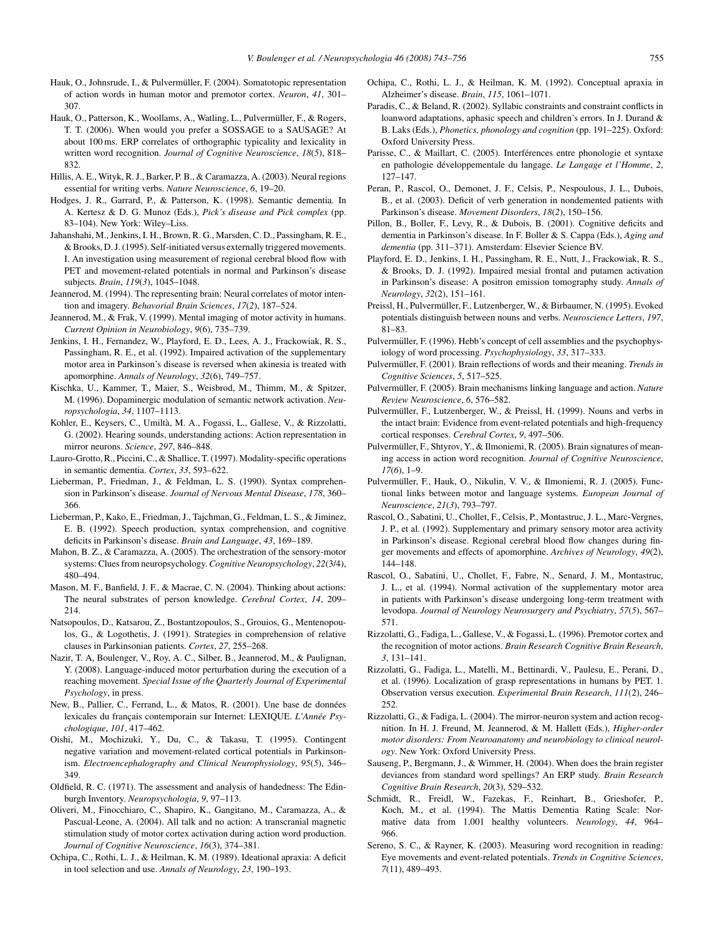- <span id="page-12-0"></span>Hauk, O., Johnsrude, I., & Pulvermüller, F. (2004). Somatotopic representation of action words in human motor and premotor cortex. *Neuron*, *41*, 301– 307.
- Hauk, O., Patterson, K., Woollams, A., Watling, L., Pulvermüller, F., & Rogers, T. T. (2006). When would you prefer a SOSSAGE to a SAUSAGE? At about 100 ms. ERP correlates of orthographic typicality and lexicality in written word recognition. *Journal of Cognitive Neuroscience*, *18*(*5*), 818– 832.
- Hillis, A. E., Wityk, R. J., Barker, P. B., & Caramazza, A. (2003). Neural regions essential for writing verbs. *Nature Neuroscience*, *6*, 19–20.
- Hodges, J. R., Garrard, P., & Patterson, K. (1998). Semantic dementia. In A. Kertesz & D. G. Munoz (Eds.), *Pick's disease and Pick complex* (pp. 83–104). New York: Wiley–Liss.
- Jahanshahi, M., Jenkins, I. H., Brown, R. G., Marsden, C. D., Passingham, R. E., & Brooks, D. J. (1995). Self-initiated versus externally triggered movements. I. An investigation using measurement of regional cerebral blood flow with PET and movement-related potentials in normal and Parkinson's disease subjects. *Brain*, *119*(*3*), 1045–1048.
- Jeannerod, M. (1994). The representing brain: Neural correlates of motor intention and imagery. *Behavorial Brain Sciences*, *17*(*2*), 187–524.
- Jeannerod, M., & Frak, V. (1999). Mental imaging of motor activity in humans. *Current Opinion in Neurobiology*, *9*(6), 735–739.
- Jenkins, I. H., Fernandez, W., Playford, E. D., Lees, A. J., Frackowiak, R. S., Passingham, R. E., et al. (1992). Impaired activation of the supplementary motor area in Parkinson's disease is reversed when akinesia is treated with apomorphine. *Annals of Neurology*, *32*(6), 749–757.
- Kischka, U., Kammer, T., Maier, S., Weisbrod, M., Thimm, M., & Spitzer, M. (1996). Dopaminergic modulation of semantic network activation. *Neuropsychologia*, *34*, 1107–1113.
- Kohler, E., Keysers, C., Umiltà, M. A., Fogassi, L., Gallese, V., & Rizzolatti, G. (2002). Hearing sounds, understanding actions: Action representation in mirror neurons. *Science*, *297*, 846–848.
- Lauro-Grotto, R., Piccini, C., & Shallice, T. (1997). Modality-specific operations in semantic dementia. *Cortex*, *33*, 593–622.
- Lieberman, P., Friedman, J., & Feldman, L. S. (1990). Syntax comprehension in Parkinson's disease. *Journal of Nervous Mental Disease*, *178*, 360– 366.
- Lieberman, P., Kako, E., Friedman, J., Tajchman, G., Feldman, L. S., & Jiminez, E. B. (1992). Speech production, syntax comprehension, and cognitive deficits in Parkinson's disease. *Brain and Language*, *43*, 169–189.
- Mahon, B. Z., & Caramazza, A. (2005). The orchestration of the sensory-motor systems: Clues from neuropsychology. *Cognitive Neuropsychology*, *22*(3/4), 480–494.
- Mason, M. F., Banfield, J. F., & Macrae, C. N. (2004). Thinking about actions: The neural substrates of person knowledge. *Cerebral Cortex*, *14*, 209– 214.
- Natsopoulos, D., Katsarou, Z., Bostantzopoulos, S., Grouios, G., Mentenopoulos, G., & Logothetis, J. (1991). Strategies in comprehension of relative clauses in Parkinsonian patients. *Cortex*, *27*, 255–268.
- Nazir, T. A, Boulenger, V., Roy, A. C., Silber, B., Jeannerod, M., & Paulignan, Y. (2008). Language-induced motor perturbation during the execution of a reaching movement. *Special Issue of the Quarterly Journal of Experimental Psychology*, in press.
- New, B., Pallier, C., Ferrand, L., & Matos, R. (2001). Une base de données lexicales du français contemporain sur Internet: LEXIQUE. *L'Année Psychologique*, *101*, 417–462.
- Oishi, M., Mochizuki, Y., Du, C., & Takasu, T. (1995). Contingent negative variation and movement-related cortical potentials in Parkinsonism. *Electroencephalography and Clinical Neurophysiology*, *95*(*5*), 346– 349.
- Oldfield, R. C. (1971). The assessment and analysis of handedness: The Edinburgh Inventory. *Neuropsychologia*, *9*, 97–113.
- Oliveri, M., Finocchiaro, C., Shapiro, K., Gangitano, M., Caramazza, A., & Pascual-Leone, A. (2004). All talk and no action: A transcranial magnetic stimulation study of motor cortex activation during action word production. *Journal of Cognitive Neuroscience*, *16*(3), 374–381.
- Ochipa, C., Rothi, L. J., & Heilman, K. M. (1989). Ideational apraxia: A deficit in tool selection and use. *Annals of Neurology*, *23*, 190–193.
- Ochipa, C., Rothi, L. J., & Heilman, K. M. (1992). Conceptual apraxia in Alzheimer's disease. *Brain*, *115*, 1061–1071.
- Paradis, C., & Beland, R. (2002). Syllabic constraints and constraint conflicts in loanword adaptations, aphasic speech and children's errors. In J. Durand & B. Laks (Eds.), *Phonetics, phonology and cognition* (pp. 191–225). Oxford: Oxford University Press.
- Parisse, C., & Maillart, C. (2005). Interférences entre phonologie et syntaxe en pathologie développementale du langage. Le Langage et l'Homme, 2, 127–147.
- Peran, P., Rascol, O., Demonet, J. F., Celsis, P., Nespoulous, J. L., Dubois, B., et al. (2003). Deficit of verb generation in nondemented patients with Parkinson's disease. *Movement Disorders*, *18*(*2*), 150–156.
- Pillon, B., Boller, F., Levy, R., & Dubois, B. (2001). Cognitive deficits and dementia in Parkinson's disease. In F. Boller & S. Cappa (Eds.), *Aging and dementia* (pp. 311–371). Amsterdam: Elsevier Science BV.
- Playford, E. D., Jenkins, I. H., Passingham, R. E., Nutt, J., Frackowiak, R. S., & Brooks, D. J. (1992). Impaired mesial frontal and putamen activation in Parkinson's disease: A positron emission tomography study. *Annals of Neurology*, *32*(2), 151–161.
- Preissl, H., Pulvermüller, F., Lutzenberger, W., & Birbaumer, N. (1995). Evoked potentials distinguish between nouns and verbs. *Neuroscience Letters*, *197*, 81–83.
- Pulvermüller, F. (1996). Hebb's concept of cell assemblies and the psychophysiology of word processing. *Psychophysiology*, *33*, 317–333.
- Pulvermüller, F. (2001). Brain reflections of words and their meaning. *Trends in Cognitive Sciences*, *5*, 517–525.
- Pulvermüller, F. (2005). Brain mechanisms linking language and action. *Nature Review Neuroscience*, *6*, 576–582.
- Pulvermüller, F., Lutzenberger, W., & Preissl, H. (1999). Nouns and verbs in the intact brain: Evidence from event-related potentials and high-frequency cortical responses. *Cerebral Cortex*, *9*, 497–506.
- Pulvermüller, F., Shtyrov, Y., & Ilmoniemi, R. (2005). Brain signatures of meaning access in action word recognition. *Journal of Cognitive Neuroscience*, *17*(*6*), 1–9.
- Pulvermüller, F., Hauk, O., Nikulin, V. V., & Ilmoniemi, R. J. (2005). Functional links between motor and language systems. *European Journal of Neuroscience*, *21*(*3*), 793–797.
- Rascol, O., Sabatini, U., Chollet, F., Celsis, P., Montastruc, J. L., Marc-Vergnes, J. P., et al. (1992). Supplementary and primary sensory motor area activity in Parkinson's disease. Regional cerebral blood flow changes during finger movements and effects of apomorphine. *Archives of Neurology*, *49*(2), 144–148.
- Rascol, O., Sabatini, U., Chollet, F., Fabre, N., Senard, J. M., Montastruc, J. L., et al. (1994). Normal activation of the supplementary motor area in patients with Parkinson's disease undergoing long-term treatment with levodopa. *Journal of Neurology Neurosurgery and Psychiatry*, *57*(*5*), 567– 571.
- Rizzolatti, G., Fadiga, L., Gallese, V., & Fogassi, L. (1996). Premotor cortex and the recognition of motor actions. *Brain Research Cognitive Brain Research*, *3*, 131–141.
- Rizzolatti, G., Fadiga, L., Matelli, M., Bettinardi, V., Paulesu, E., Perani, D., et al. (1996). Localization of grasp representations in humans by PET. 1. Observation versus execution. *Experimental Brain Research*, *111*(2), 246– 252.
- Rizzolatti, G., & Fadiga, L. (2004). The mirror-neuron system and action recognition. In H. J. Freund, M. Jeannerod, & M. Hallett (Eds.), *Higher-order motor disorders: From Neuroanatomy and neurobiology to clinical neurology*. New York: Oxford University Press.
- Sauseng, P., Bergmann, J., & Wimmer, H. (2004). When does the brain register deviances from standard word spellings? An ERP study. *Brain Research Cognitive Brain Research*, *20*(3), 529–532.
- Schmidt, R., Freidl, W., Fazekas, F., Reinhart, B., Grieshofer, P., Koch, M., et al. (1994). The Mattis Dementia Rating Scale: Normative data from 1,001 healthy volunteers. *Neurology*, *44*, 964– 966.
- Sereno, S. C., & Rayner, K. (2003). Measuring word recognition in reading: Eye movements and event-related potentials. *Trends in Cognitive Sciences*, *7*(11), 489–493.